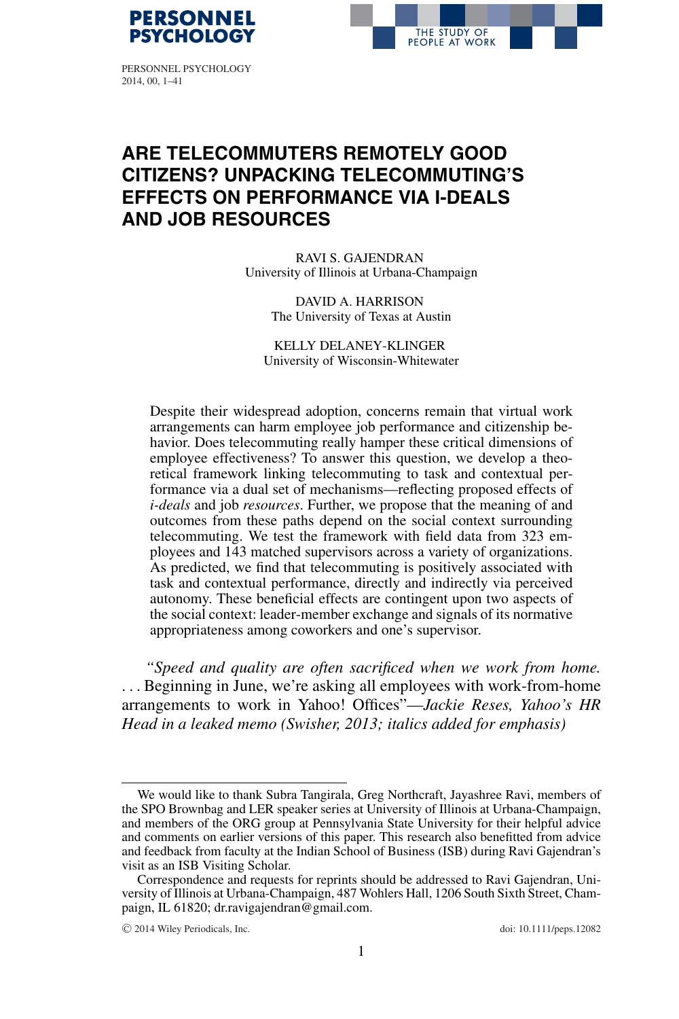



PERSONNEL PSYCHOLOGY 2014, 00, 1–41

# **ARE TELECOMMUTERS REMOTELY GOOD CITIZENS? UNPACKING TELECOMMUTING'S EFFECTS ON PERFORMANCE VIA I-DEALS AND JOB RESOURCES**

RAVI S. GAJENDRAN University of Illinois at Urbana-Champaign

> DAVID A. HARRISON The University of Texas at Austin

KELLY DELANEY-KLINGER University of Wisconsin-Whitewater

Despite their widespread adoption, concerns remain that virtual work arrangements can harm employee job performance and citizenship behavior. Does telecommuting really hamper these critical dimensions of employee effectiveness? To answer this question, we develop a theoretical framework linking telecommuting to task and contextual performance via a dual set of mechanisms—reflecting proposed effects of *i-deals* and job *resources*. Further, we propose that the meaning of and outcomes from these paths depend on the social context surrounding telecommuting. We test the framework with field data from 323 employees and 143 matched supervisors across a variety of organizations. As predicted, we find that telecommuting is positively associated with task and contextual performance, directly and indirectly via perceived autonomy. These beneficial effects are contingent upon two aspects of the social context: leader-member exchange and signals of its normative appropriateness among coworkers and one's supervisor.

*"Speed and quality are often sacrificed when we work from home.* . . . Beginning in June, we're asking all employees with work-from-home arrangements to work in Yahoo! Offices"—*Jackie Reses, Yahoo's HR Head in a leaked memo (Swisher, 2013; italics added for emphasis)*

We would like to thank Subra Tangirala, Greg Northcraft, Jayashree Ravi, members of the SPO Brownbag and LER speaker series at University of Illinois at Urbana-Champaign, and members of the ORG group at Pennsylvania State University for their helpful advice and comments on earlier versions of this paper. This research also benefitted from advice and feedback from faculty at the Indian School of Business (ISB) during Ravi Gajendran's visit as an ISB Visiting Scholar.

Correspondence and requests for reprints should be addressed to Ravi Gajendran, University of Illinois at Urbana-Champaign, 487 Wohlers Hall, 1206 South Sixth Street, Champaign, IL 61820; dr.ravigajendran@gmail.com.

<sup>-</sup>C 2014 Wiley Periodicals, Inc. doi: 10.1111/peps.12082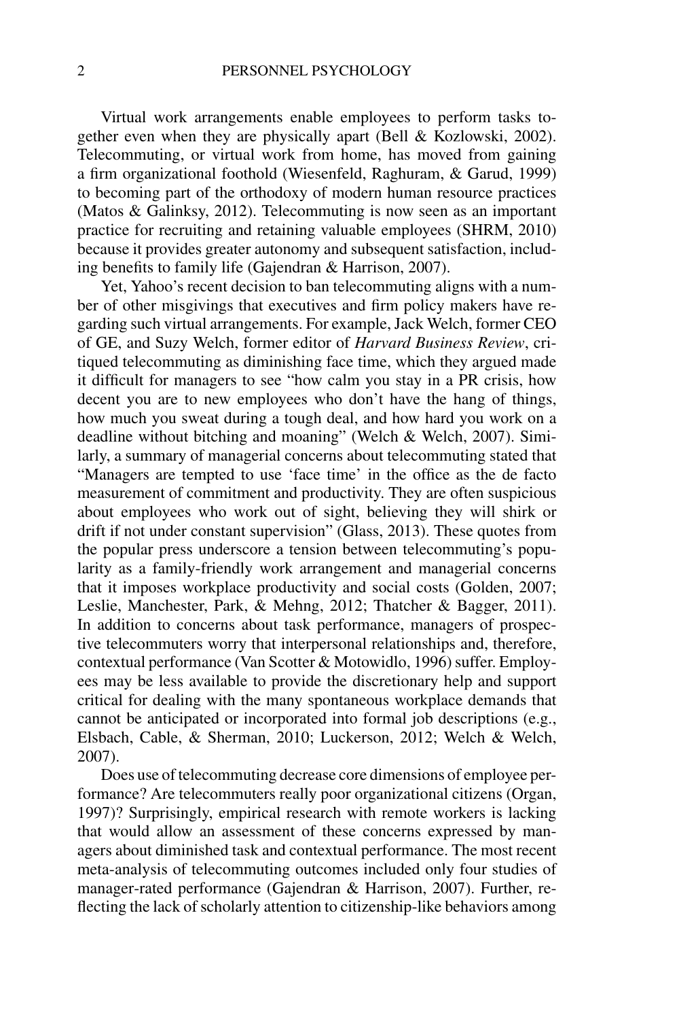Virtual work arrangements enable employees to perform tasks together even when they are physically apart (Bell & Kozlowski, 2002). Telecommuting, or virtual work from home, has moved from gaining a firm organizational foothold (Wiesenfeld, Raghuram, & Garud, 1999) to becoming part of the orthodoxy of modern human resource practices (Matos & Galinksy, 2012). Telecommuting is now seen as an important practice for recruiting and retaining valuable employees (SHRM, 2010) because it provides greater autonomy and subsequent satisfaction, including benefits to family life (Gajendran & Harrison, 2007).

Yet, Yahoo's recent decision to ban telecommuting aligns with a number of other misgivings that executives and firm policy makers have regarding such virtual arrangements. For example, Jack Welch, former CEO of GE, and Suzy Welch, former editor of *Harvard Business Review*, critiqued telecommuting as diminishing face time, which they argued made it difficult for managers to see "how calm you stay in a PR crisis, how decent you are to new employees who don't have the hang of things, how much you sweat during a tough deal, and how hard you work on a deadline without bitching and moaning" (Welch & Welch, 2007). Similarly, a summary of managerial concerns about telecommuting stated that "Managers are tempted to use 'face time' in the office as the de facto measurement of commitment and productivity. They are often suspicious about employees who work out of sight, believing they will shirk or drift if not under constant supervision" (Glass, 2013). These quotes from the popular press underscore a tension between telecommuting's popularity as a family-friendly work arrangement and managerial concerns that it imposes workplace productivity and social costs (Golden, 2007; Leslie, Manchester, Park, & Mehng, 2012; Thatcher & Bagger, 2011). In addition to concerns about task performance, managers of prospective telecommuters worry that interpersonal relationships and, therefore, contextual performance (Van Scotter & Motowidlo, 1996) suffer. Employees may be less available to provide the discretionary help and support critical for dealing with the many spontaneous workplace demands that cannot be anticipated or incorporated into formal job descriptions (e.g., Elsbach, Cable, & Sherman, 2010; Luckerson, 2012; Welch & Welch, 2007).

Does use of telecommuting decrease core dimensions of employee performance? Are telecommuters really poor organizational citizens (Organ, 1997)? Surprisingly, empirical research with remote workers is lacking that would allow an assessment of these concerns expressed by managers about diminished task and contextual performance. The most recent meta-analysis of telecommuting outcomes included only four studies of manager-rated performance (Gajendran & Harrison, 2007). Further, reflecting the lack of scholarly attention to citizenship-like behaviors among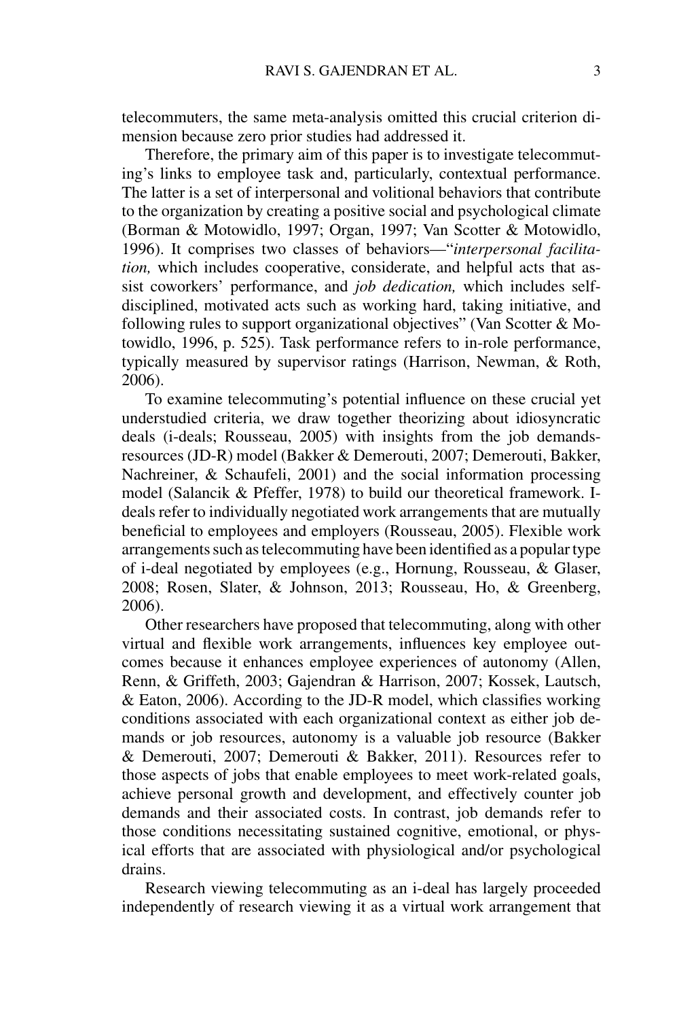telecommuters, the same meta-analysis omitted this crucial criterion dimension because zero prior studies had addressed it.

Therefore, the primary aim of this paper is to investigate telecommuting's links to employee task and, particularly, contextual performance. The latter is a set of interpersonal and volitional behaviors that contribute to the organization by creating a positive social and psychological climate (Borman & Motowidlo, 1997; Organ, 1997; Van Scotter & Motowidlo, 1996). It comprises two classes of behaviors—"*interpersonal facilitation,* which includes cooperative, considerate, and helpful acts that assist coworkers' performance, and *job dedication,* which includes selfdisciplined, motivated acts such as working hard, taking initiative, and following rules to support organizational objectives" (Van Scotter & Motowidlo, 1996, p. 525). Task performance refers to in-role performance, typically measured by supervisor ratings (Harrison, Newman, & Roth, 2006).

To examine telecommuting's potential influence on these crucial yet understudied criteria, we draw together theorizing about idiosyncratic deals (i-deals; Rousseau, 2005) with insights from the job demandsresources (JD-R) model (Bakker & Demerouti, 2007; Demerouti, Bakker, Nachreiner, & Schaufeli, 2001) and the social information processing model (Salancik & Pfeffer, 1978) to build our theoretical framework. Ideals refer to individually negotiated work arrangements that are mutually beneficial to employees and employers (Rousseau, 2005). Flexible work arrangements such as telecommuting have been identified as a popular type of i-deal negotiated by employees (e.g., Hornung, Rousseau, & Glaser, 2008; Rosen, Slater, & Johnson, 2013; Rousseau, Ho, & Greenberg, 2006).

Other researchers have proposed that telecommuting, along with other virtual and flexible work arrangements, influences key employee outcomes because it enhances employee experiences of autonomy (Allen, Renn, & Griffeth, 2003; Gajendran & Harrison, 2007; Kossek, Lautsch, & Eaton, 2006). According to the JD-R model, which classifies working conditions associated with each organizational context as either job demands or job resources, autonomy is a valuable job resource (Bakker & Demerouti, 2007; Demerouti & Bakker, 2011). Resources refer to those aspects of jobs that enable employees to meet work-related goals, achieve personal growth and development, and effectively counter job demands and their associated costs. In contrast, job demands refer to those conditions necessitating sustained cognitive, emotional, or physical efforts that are associated with physiological and/or psychological drains.

Research viewing telecommuting as an i-deal has largely proceeded independently of research viewing it as a virtual work arrangement that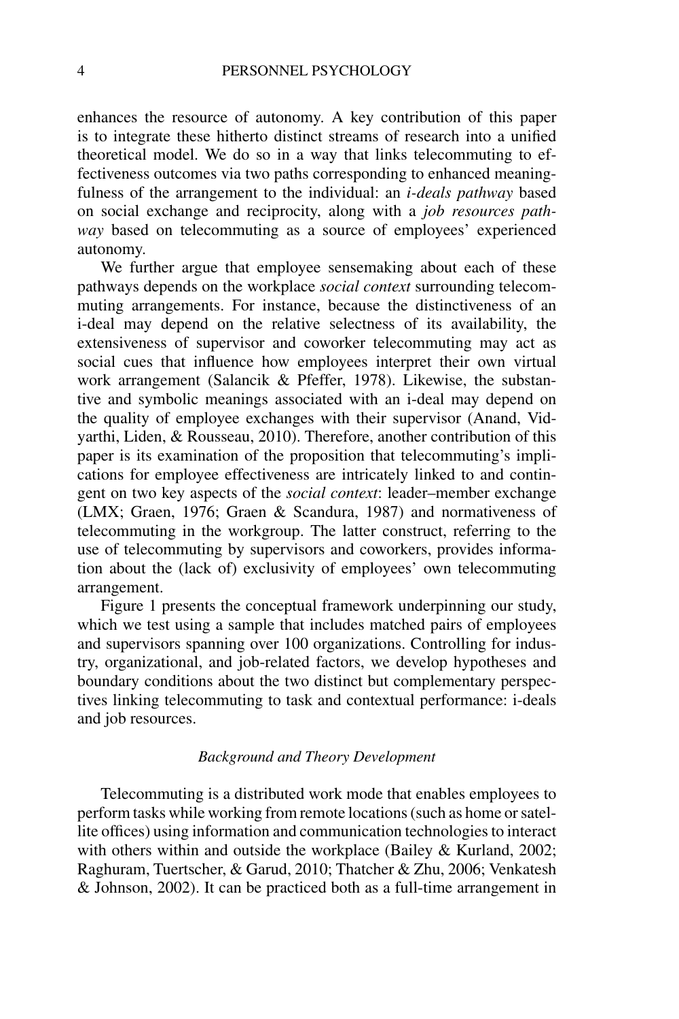enhances the resource of autonomy. A key contribution of this paper is to integrate these hitherto distinct streams of research into a unified theoretical model. We do so in a way that links telecommuting to effectiveness outcomes via two paths corresponding to enhanced meaningfulness of the arrangement to the individual: an *i-deals pathway* based on social exchange and reciprocity, along with a *job resources pathway* based on telecommuting as a source of employees' experienced autonomy.

We further argue that employee sensemaking about each of these pathways depends on the workplace *social context* surrounding telecommuting arrangements. For instance, because the distinctiveness of an i-deal may depend on the relative selectness of its availability, the extensiveness of supervisor and coworker telecommuting may act as social cues that influence how employees interpret their own virtual work arrangement (Salancik & Pfeffer, 1978). Likewise, the substantive and symbolic meanings associated with an i-deal may depend on the quality of employee exchanges with their supervisor (Anand, Vidyarthi, Liden, & Rousseau, 2010). Therefore, another contribution of this paper is its examination of the proposition that telecommuting's implications for employee effectiveness are intricately linked to and contingent on two key aspects of the *social context*: leader–member exchange (LMX; Graen, 1976; Graen & Scandura, 1987) and normativeness of telecommuting in the workgroup. The latter construct, referring to the use of telecommuting by supervisors and coworkers, provides information about the (lack of) exclusivity of employees' own telecommuting arrangement.

Figure 1 presents the conceptual framework underpinning our study, which we test using a sample that includes matched pairs of employees and supervisors spanning over 100 organizations. Controlling for industry, organizational, and job-related factors, we develop hypotheses and boundary conditions about the two distinct but complementary perspectives linking telecommuting to task and contextual performance: i-deals and job resources.

### *Background and Theory Development*

Telecommuting is a distributed work mode that enables employees to perform tasks while working from remote locations (such as home or satellite offices) using information and communication technologies to interact with others within and outside the workplace (Bailey & Kurland, 2002; Raghuram, Tuertscher, & Garud, 2010; Thatcher & Zhu, 2006; Venkatesh & Johnson, 2002). It can be practiced both as a full-time arrangement in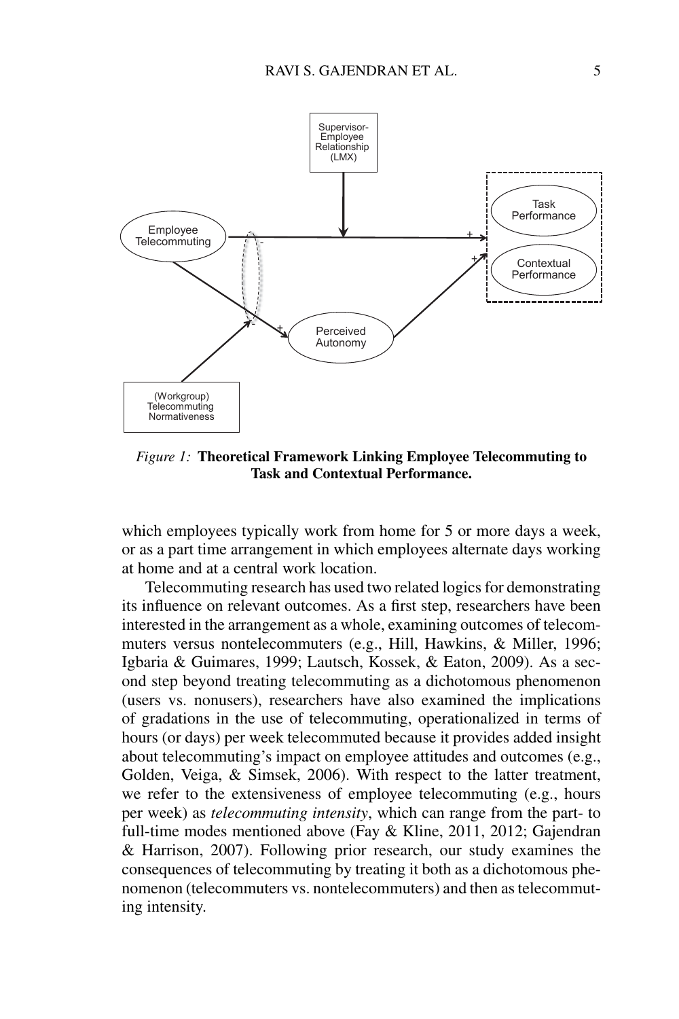

*Figure 1:* **Theoretical Framework Linking Employee Telecommuting to Task and Contextual Performance.**

which employees typically work from home for 5 or more days a week, or as a part time arrangement in which employees alternate days working at home and at a central work location.

Telecommuting research has used two related logics for demonstrating its influence on relevant outcomes. As a first step, researchers have been interested in the arrangement as a whole, examining outcomes of telecommuters versus nontelecommuters (e.g., Hill, Hawkins, & Miller, 1996; Igbaria & Guimares, 1999; Lautsch, Kossek, & Eaton, 2009). As a second step beyond treating telecommuting as a dichotomous phenomenon (users vs. nonusers), researchers have also examined the implications of gradations in the use of telecommuting, operationalized in terms of hours (or days) per week telecommuted because it provides added insight about telecommuting's impact on employee attitudes and outcomes (e.g., Golden, Veiga, & Simsek, 2006). With respect to the latter treatment, we refer to the extensiveness of employee telecommuting (e.g., hours per week) as *telecommuting intensity*, which can range from the part- to full-time modes mentioned above (Fay & Kline, 2011, 2012; Gajendran & Harrison, 2007). Following prior research, our study examines the consequences of telecommuting by treating it both as a dichotomous phenomenon (telecommuters vs. nontelecommuters) and then as telecommuting intensity.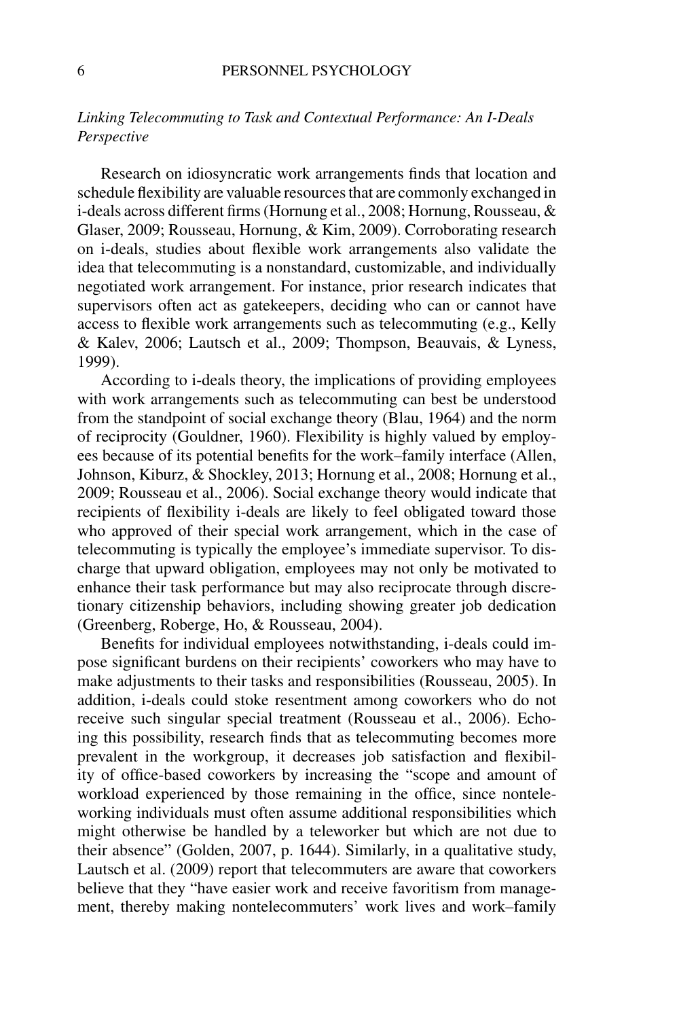### *Linking Telecommuting to Task and Contextual Performance: An I-Deals Perspective*

Research on idiosyncratic work arrangements finds that location and schedule flexibility are valuable resources that are commonly exchanged in i-deals across different firms (Hornung et al., 2008; Hornung, Rousseau, & Glaser, 2009; Rousseau, Hornung, & Kim, 2009). Corroborating research on i-deals, studies about flexible work arrangements also validate the idea that telecommuting is a nonstandard, customizable, and individually negotiated work arrangement. For instance, prior research indicates that supervisors often act as gatekeepers, deciding who can or cannot have access to flexible work arrangements such as telecommuting (e.g., Kelly & Kalev, 2006; Lautsch et al., 2009; Thompson, Beauvais, & Lyness, 1999).

According to i-deals theory, the implications of providing employees with work arrangements such as telecommuting can best be understood from the standpoint of social exchange theory (Blau, 1964) and the norm of reciprocity (Gouldner, 1960). Flexibility is highly valued by employees because of its potential benefits for the work–family interface (Allen, Johnson, Kiburz, & Shockley, 2013; Hornung et al., 2008; Hornung et al., 2009; Rousseau et al., 2006). Social exchange theory would indicate that recipients of flexibility i-deals are likely to feel obligated toward those who approved of their special work arrangement, which in the case of telecommuting is typically the employee's immediate supervisor. To discharge that upward obligation, employees may not only be motivated to enhance their task performance but may also reciprocate through discretionary citizenship behaviors, including showing greater job dedication (Greenberg, Roberge, Ho, & Rousseau, 2004).

Benefits for individual employees notwithstanding, i-deals could impose significant burdens on their recipients' coworkers who may have to make adjustments to their tasks and responsibilities (Rousseau, 2005). In addition, i-deals could stoke resentment among coworkers who do not receive such singular special treatment (Rousseau et al., 2006). Echoing this possibility, research finds that as telecommuting becomes more prevalent in the workgroup, it decreases job satisfaction and flexibility of office-based coworkers by increasing the "scope and amount of workload experienced by those remaining in the office, since nonteleworking individuals must often assume additional responsibilities which might otherwise be handled by a teleworker but which are not due to their absence" (Golden, 2007, p. 1644). Similarly, in a qualitative study, Lautsch et al. (2009) report that telecommuters are aware that coworkers believe that they "have easier work and receive favoritism from management, thereby making nontelecommuters' work lives and work–family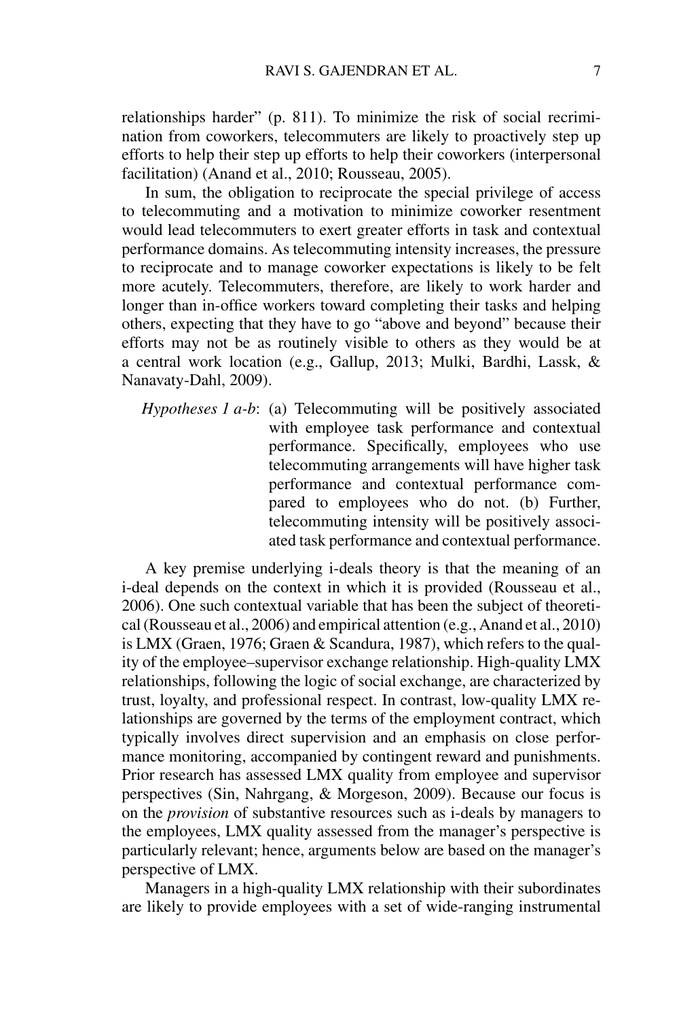relationships harder" (p. 811). To minimize the risk of social recrimination from coworkers, telecommuters are likely to proactively step up efforts to help their step up efforts to help their coworkers (interpersonal facilitation) (Anand et al., 2010; Rousseau, 2005).

In sum, the obligation to reciprocate the special privilege of access to telecommuting and a motivation to minimize coworker resentment would lead telecommuters to exert greater efforts in task and contextual performance domains. As telecommuting intensity increases, the pressure to reciprocate and to manage coworker expectations is likely to be felt more acutely. Telecommuters, therefore, are likely to work harder and longer than in-office workers toward completing their tasks and helping others, expecting that they have to go "above and beyond" because their efforts may not be as routinely visible to others as they would be at a central work location (e.g., Gallup, 2013; Mulki, Bardhi, Lassk, & Nanavaty-Dahl, 2009).

*Hypotheses 1 a-b*: (a) Telecommuting will be positively associated with employee task performance and contextual performance. Specifically, employees who use telecommuting arrangements will have higher task performance and contextual performance compared to employees who do not. (b) Further, telecommuting intensity will be positively associated task performance and contextual performance.

A key premise underlying i-deals theory is that the meaning of an i-deal depends on the context in which it is provided (Rousseau et al., 2006). One such contextual variable that has been the subject of theoretical (Rousseau et al., 2006) and empirical attention (e.g., Anand et al., 2010) is LMX (Graen, 1976; Graen & Scandura, 1987), which refers to the quality of the employee–supervisor exchange relationship. High-quality LMX relationships, following the logic of social exchange, are characterized by trust, loyalty, and professional respect. In contrast, low-quality LMX relationships are governed by the terms of the employment contract, which typically involves direct supervision and an emphasis on close performance monitoring, accompanied by contingent reward and punishments. Prior research has assessed LMX quality from employee and supervisor perspectives (Sin, Nahrgang, & Morgeson, 2009). Because our focus is on the *provision* of substantive resources such as i-deals by managers to the employees, LMX quality assessed from the manager's perspective is particularly relevant; hence, arguments below are based on the manager's perspective of LMX.

Managers in a high-quality LMX relationship with their subordinates are likely to provide employees with a set of wide-ranging instrumental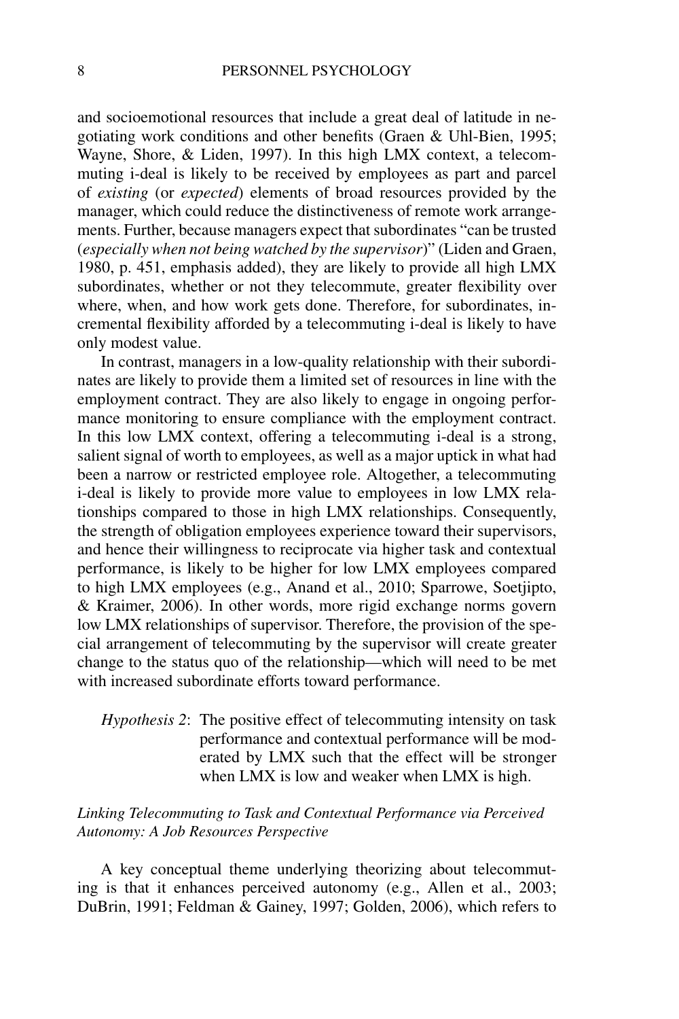and socioemotional resources that include a great deal of latitude in negotiating work conditions and other benefits (Graen & Uhl-Bien, 1995; Wayne, Shore, & Liden, 1997). In this high LMX context, a telecommuting i-deal is likely to be received by employees as part and parcel of *existing* (or *expected*) elements of broad resources provided by the manager, which could reduce the distinctiveness of remote work arrangements. Further, because managers expect that subordinates "can be trusted (*especially when not being watched by the supervisor*)" (Liden and Graen, 1980, p. 451, emphasis added), they are likely to provide all high LMX subordinates, whether or not they telecommute, greater flexibility over where, when, and how work gets done. Therefore, for subordinates, incremental flexibility afforded by a telecommuting i-deal is likely to have only modest value.

In contrast, managers in a low-quality relationship with their subordinates are likely to provide them a limited set of resources in line with the employment contract. They are also likely to engage in ongoing performance monitoring to ensure compliance with the employment contract. In this low LMX context, offering a telecommuting i-deal is a strong, salient signal of worth to employees, as well as a major uptick in what had been a narrow or restricted employee role. Altogether, a telecommuting i-deal is likely to provide more value to employees in low LMX relationships compared to those in high LMX relationships. Consequently, the strength of obligation employees experience toward their supervisors, and hence their willingness to reciprocate via higher task and contextual performance, is likely to be higher for low LMX employees compared to high LMX employees (e.g., Anand et al., 2010; Sparrowe, Soetjipto, & Kraimer, 2006). In other words, more rigid exchange norms govern low LMX relationships of supervisor. Therefore, the provision of the special arrangement of telecommuting by the supervisor will create greater change to the status quo of the relationship—which will need to be met with increased subordinate efforts toward performance.

## *Hypothesis 2*: The positive effect of telecommuting intensity on task performance and contextual performance will be moderated by LMX such that the effect will be stronger when LMX is low and weaker when LMX is high.

### *Linking Telecommuting to Task and Contextual Performance via Perceived Autonomy: A Job Resources Perspective*

A key conceptual theme underlying theorizing about telecommuting is that it enhances perceived autonomy (e.g., Allen et al., 2003; DuBrin, 1991; Feldman & Gainey, 1997; Golden, 2006), which refers to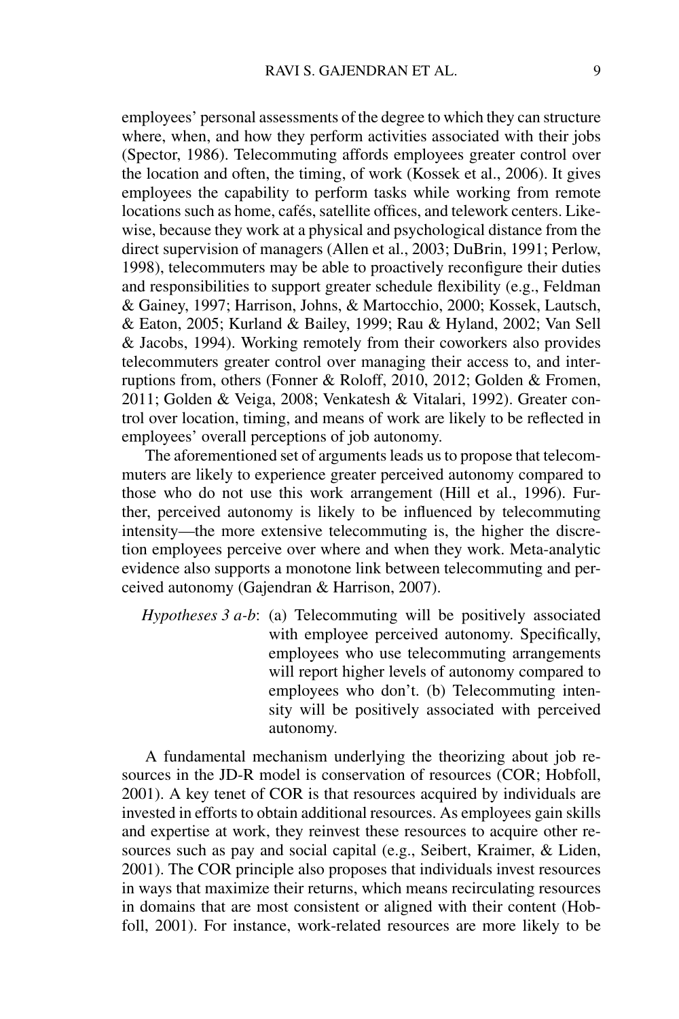employees' personal assessments of the degree to which they can structure where, when, and how they perform activities associated with their jobs (Spector, 1986). Telecommuting affords employees greater control over the location and often, the timing, of work (Kossek et al., 2006). It gives employees the capability to perform tasks while working from remote locations such as home, cafés, satellite offices, and telework centers. Likewise, because they work at a physical and psychological distance from the direct supervision of managers (Allen et al., 2003; DuBrin, 1991; Perlow, 1998), telecommuters may be able to proactively reconfigure their duties and responsibilities to support greater schedule flexibility (e.g., Feldman & Gainey, 1997; Harrison, Johns, & Martocchio, 2000; Kossek, Lautsch, & Eaton, 2005; Kurland & Bailey, 1999; Rau & Hyland, 2002; Van Sell & Jacobs, 1994). Working remotely from their coworkers also provides telecommuters greater control over managing their access to, and interruptions from, others (Fonner & Roloff, 2010, 2012; Golden & Fromen, 2011; Golden & Veiga, 2008; Venkatesh & Vitalari, 1992). Greater control over location, timing, and means of work are likely to be reflected in employees' overall perceptions of job autonomy.

The aforementioned set of arguments leads us to propose that telecommuters are likely to experience greater perceived autonomy compared to those who do not use this work arrangement (Hill et al., 1996). Further, perceived autonomy is likely to be influenced by telecommuting intensity—the more extensive telecommuting is, the higher the discretion employees perceive over where and when they work. Meta-analytic evidence also supports a monotone link between telecommuting and perceived autonomy (Gajendran & Harrison, 2007).

*Hypotheses 3 a-b*: (a) Telecommuting will be positively associated with employee perceived autonomy. Specifically, employees who use telecommuting arrangements will report higher levels of autonomy compared to employees who don't. (b) Telecommuting intensity will be positively associated with perceived autonomy.

A fundamental mechanism underlying the theorizing about job resources in the JD-R model is conservation of resources (COR; Hobfoll, 2001). A key tenet of COR is that resources acquired by individuals are invested in efforts to obtain additional resources. As employees gain skills and expertise at work, they reinvest these resources to acquire other resources such as pay and social capital (e.g., Seibert, Kraimer, & Liden, 2001). The COR principle also proposes that individuals invest resources in ways that maximize their returns, which means recirculating resources in domains that are most consistent or aligned with their content (Hobfoll, 2001). For instance, work-related resources are more likely to be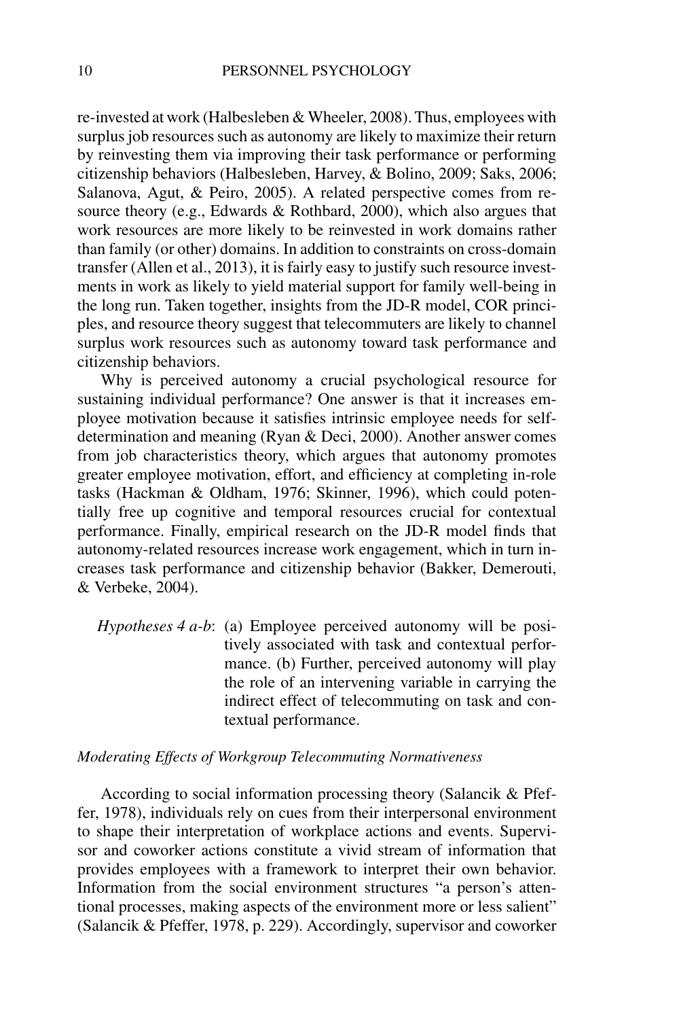re-invested at work (Halbesleben & Wheeler, 2008). Thus, employees with surplus job resources such as autonomy are likely to maximize their return by reinvesting them via improving their task performance or performing citizenship behaviors (Halbesleben, Harvey, & Bolino, 2009; Saks, 2006; Salanova, Agut, & Peiro, 2005). A related perspective comes from resource theory (e.g., Edwards & Rothbard, 2000), which also argues that work resources are more likely to be reinvested in work domains rather than family (or other) domains. In addition to constraints on cross-domain transfer (Allen et al., 2013), it is fairly easy to justify such resource investments in work as likely to yield material support for family well-being in the long run. Taken together, insights from the JD-R model, COR principles, and resource theory suggest that telecommuters are likely to channel surplus work resources such as autonomy toward task performance and citizenship behaviors.

Why is perceived autonomy a crucial psychological resource for sustaining individual performance? One answer is that it increases employee motivation because it satisfies intrinsic employee needs for selfdetermination and meaning (Ryan & Deci, 2000). Another answer comes from job characteristics theory, which argues that autonomy promotes greater employee motivation, effort, and efficiency at completing in-role tasks (Hackman & Oldham, 1976; Skinner, 1996), which could potentially free up cognitive and temporal resources crucial for contextual performance. Finally, empirical research on the JD-R model finds that autonomy-related resources increase work engagement, which in turn increases task performance and citizenship behavior (Bakker, Demerouti, & Verbeke, 2004).

*Hypotheses 4 a-b*: (a) Employee perceived autonomy will be positively associated with task and contextual performance. (b) Further, perceived autonomy will play the role of an intervening variable in carrying the indirect effect of telecommuting on task and contextual performance.

### *Moderating Effects of Workgroup Telecommuting Normativeness*

According to social information processing theory (Salancik & Pfeffer, 1978), individuals rely on cues from their interpersonal environment to shape their interpretation of workplace actions and events. Supervisor and coworker actions constitute a vivid stream of information that provides employees with a framework to interpret their own behavior. Information from the social environment structures "a person's attentional processes, making aspects of the environment more or less salient" (Salancik & Pfeffer, 1978, p. 229). Accordingly, supervisor and coworker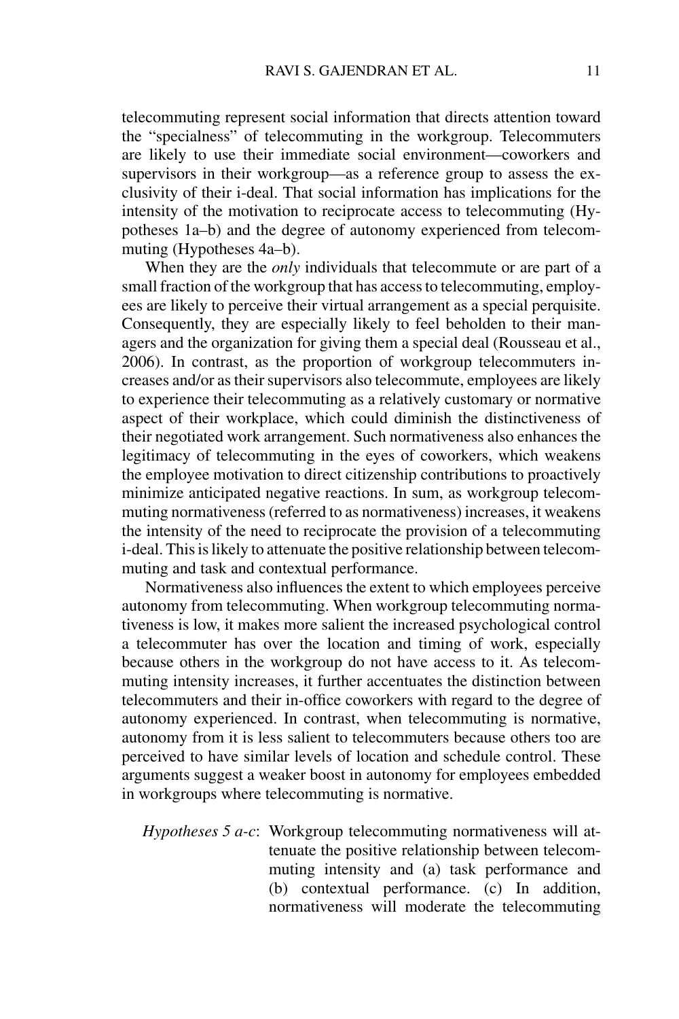telecommuting represent social information that directs attention toward the "specialness" of telecommuting in the workgroup. Telecommuters are likely to use their immediate social environment—coworkers and supervisors in their workgroup—as a reference group to assess the exclusivity of their i-deal. That social information has implications for the intensity of the motivation to reciprocate access to telecommuting (Hypotheses 1a–b) and the degree of autonomy experienced from telecommuting (Hypotheses 4a–b).

When they are the *only* individuals that telecommute or are part of a small fraction of the workgroup that has access to telecommuting, employees are likely to perceive their virtual arrangement as a special perquisite. Consequently, they are especially likely to feel beholden to their managers and the organization for giving them a special deal (Rousseau et al., 2006). In contrast, as the proportion of workgroup telecommuters increases and/or as their supervisors also telecommute, employees are likely to experience their telecommuting as a relatively customary or normative aspect of their workplace, which could diminish the distinctiveness of their negotiated work arrangement. Such normativeness also enhances the legitimacy of telecommuting in the eyes of coworkers, which weakens the employee motivation to direct citizenship contributions to proactively minimize anticipated negative reactions. In sum, as workgroup telecommuting normativeness (referred to as normativeness) increases, it weakens the intensity of the need to reciprocate the provision of a telecommuting i-deal. This is likely to attenuate the positive relationship between telecommuting and task and contextual performance.

Normativeness also influences the extent to which employees perceive autonomy from telecommuting. When workgroup telecommuting normativeness is low, it makes more salient the increased psychological control a telecommuter has over the location and timing of work, especially because others in the workgroup do not have access to it. As telecommuting intensity increases, it further accentuates the distinction between telecommuters and their in-office coworkers with regard to the degree of autonomy experienced. In contrast, when telecommuting is normative, autonomy from it is less salient to telecommuters because others too are perceived to have similar levels of location and schedule control. These arguments suggest a weaker boost in autonomy for employees embedded in workgroups where telecommuting is normative.

*Hypotheses 5 a-c*: Workgroup telecommuting normativeness will attenuate the positive relationship between telecommuting intensity and (a) task performance and (b) contextual performance. (c) In addition, normativeness will moderate the telecommuting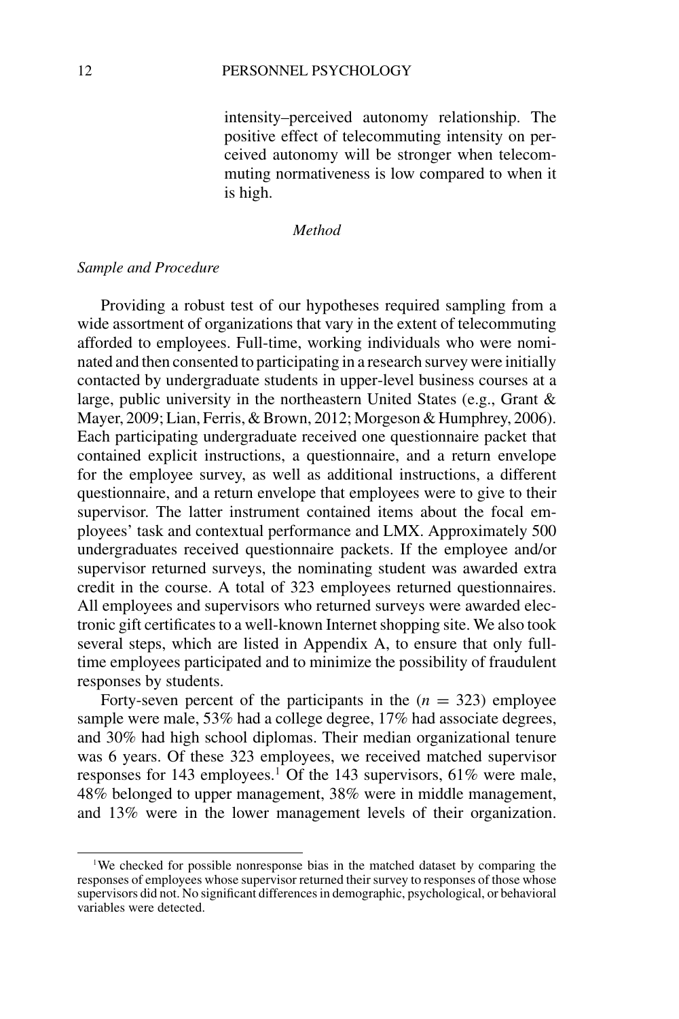intensity–perceived autonomy relationship. The positive effect of telecommuting intensity on perceived autonomy will be stronger when telecommuting normativeness is low compared to when it is high.

### *Method*

### *Sample and Procedure*

Providing a robust test of our hypotheses required sampling from a wide assortment of organizations that vary in the extent of telecommuting afforded to employees. Full-time, working individuals who were nominated and then consented to participating in a research survey were initially contacted by undergraduate students in upper-level business courses at a large, public university in the northeastern United States (e.g., Grant & Mayer, 2009; Lian, Ferris, & Brown, 2012; Morgeson & Humphrey, 2006). Each participating undergraduate received one questionnaire packet that contained explicit instructions, a questionnaire, and a return envelope for the employee survey, as well as additional instructions, a different questionnaire, and a return envelope that employees were to give to their supervisor. The latter instrument contained items about the focal employees' task and contextual performance and LMX. Approximately 500 undergraduates received questionnaire packets. If the employee and/or supervisor returned surveys, the nominating student was awarded extra credit in the course. A total of 323 employees returned questionnaires. All employees and supervisors who returned surveys were awarded electronic gift certificates to a well-known Internet shopping site. We also took several steps, which are listed in Appendix A, to ensure that only fulltime employees participated and to minimize the possibility of fraudulent responses by students.

Forty-seven percent of the participants in the  $(n = 323)$  employee sample were male, 53% had a college degree, 17% had associate degrees, and 30% had high school diplomas. Their median organizational tenure was 6 years. Of these 323 employees, we received matched supervisor responses for 143 employees.<sup>1</sup> Of the 143 supervisors, 61% were male, 48% belonged to upper management, 38% were in middle management, and 13% were in the lower management levels of their organization.

<sup>&</sup>lt;sup>1</sup>We checked for possible nonresponse bias in the matched dataset by comparing the responses of employees whose supervisor returned their survey to responses of those whose supervisors did not. No significant differences in demographic, psychological, or behavioral variables were detected.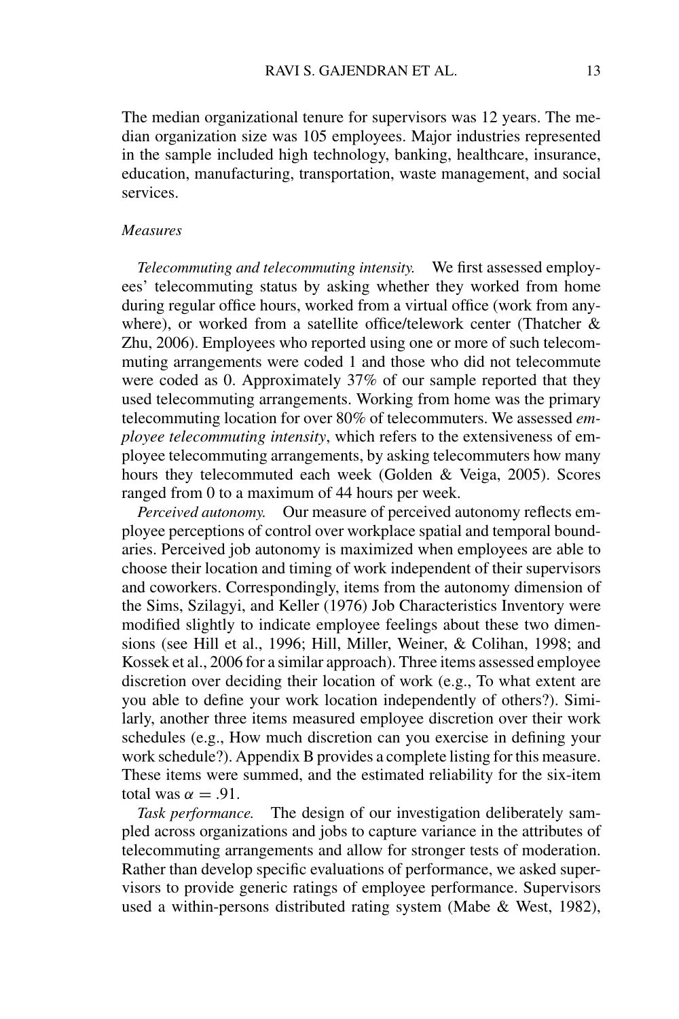The median organizational tenure for supervisors was 12 years. The median organization size was 105 employees. Major industries represented in the sample included high technology, banking, healthcare, insurance, education, manufacturing, transportation, waste management, and social services.

### *Measures*

*Telecommuting and telecommuting intensity.* We first assessed employees' telecommuting status by asking whether they worked from home during regular office hours, worked from a virtual office (work from anywhere), or worked from a satellite office/telework center (Thatcher & Zhu, 2006). Employees who reported using one or more of such telecommuting arrangements were coded 1 and those who did not telecommute were coded as 0. Approximately 37% of our sample reported that they used telecommuting arrangements. Working from home was the primary telecommuting location for over 80% of telecommuters. We assessed *employee telecommuting intensity*, which refers to the extensiveness of employee telecommuting arrangements, by asking telecommuters how many hours they telecommuted each week (Golden & Veiga, 2005). Scores ranged from 0 to a maximum of 44 hours per week.

*Perceived autonomy.* Our measure of perceived autonomy reflects employee perceptions of control over workplace spatial and temporal boundaries. Perceived job autonomy is maximized when employees are able to choose their location and timing of work independent of their supervisors and coworkers. Correspondingly, items from the autonomy dimension of the Sims, Szilagyi, and Keller (1976) Job Characteristics Inventory were modified slightly to indicate employee feelings about these two dimensions (see Hill et al., 1996; Hill, Miller, Weiner, & Colihan, 1998; and Kossek et al., 2006 for a similar approach). Three items assessed employee discretion over deciding their location of work (e.g., To what extent are you able to define your work location independently of others?). Similarly, another three items measured employee discretion over their work schedules (e.g., How much discretion can you exercise in defining your work schedule?). Appendix B provides a complete listing for this measure. These items were summed, and the estimated reliability for the six-item total was  $\alpha = .91$ .

*Task performance.* The design of our investigation deliberately sampled across organizations and jobs to capture variance in the attributes of telecommuting arrangements and allow for stronger tests of moderation. Rather than develop specific evaluations of performance, we asked supervisors to provide generic ratings of employee performance. Supervisors used a within-persons distributed rating system (Mabe & West, 1982),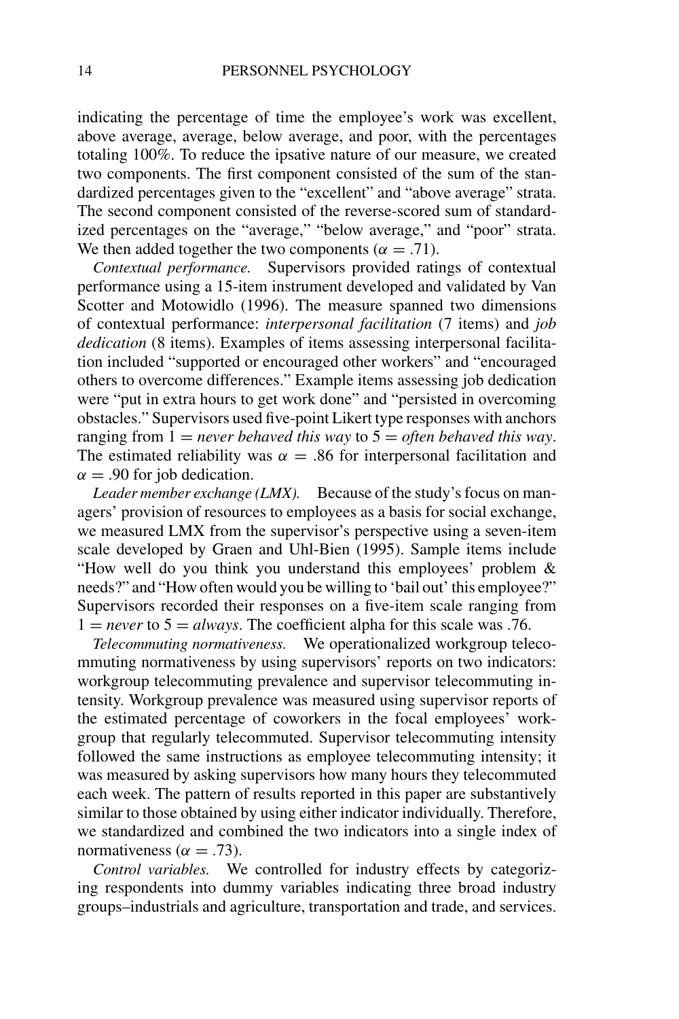indicating the percentage of time the employee's work was excellent, above average, average, below average, and poor, with the percentages totaling 100%. To reduce the ipsative nature of our measure, we created two components. The first component consisted of the sum of the standardized percentages given to the "excellent" and "above average" strata. The second component consisted of the reverse-scored sum of standardized percentages on the "average," "below average," and "poor" strata. We then added together the two components ( $\alpha = .71$ ).

*Contextual performance.* Supervisors provided ratings of contextual performance using a 15-item instrument developed and validated by Van Scotter and Motowidlo (1996). The measure spanned two dimensions of contextual performance: *interpersonal facilitation* (7 items) and *job dedication* (8 items). Examples of items assessing interpersonal facilitation included "supported or encouraged other workers" and "encouraged others to overcome differences." Example items assessing job dedication were "put in extra hours to get work done" and "persisted in overcoming obstacles." Supervisors used five-point Likert type responses with anchors ranging from  $\overline{1}$  = *never behaved this way* to  $\overline{5}$  = *often behaved this way*. The estimated reliability was  $\alpha = .86$  for interpersonal facilitation and  $\alpha = .90$  for job dedication.

*Leader member exchange (LMX).* Because of the study's focus on managers' provision of resources to employees as a basis for social exchange, we measured LMX from the supervisor's perspective using a seven-item scale developed by Graen and Uhl-Bien (1995). Sample items include "How well do you think you understand this employees' problem & needs?" and "How often would you be willing to 'bail out' this employee?" Supervisors recorded their responses on a five-item scale ranging from  $1 =$ *never* to  $5 =$ *always*. The coefficient alpha for this scale was .76.

*Telecommuting normativeness.* We operationalized workgroup telecommuting normativeness by using supervisors' reports on two indicators: workgroup telecommuting prevalence and supervisor telecommuting intensity. Workgroup prevalence was measured using supervisor reports of the estimated percentage of coworkers in the focal employees' workgroup that regularly telecommuted. Supervisor telecommuting intensity followed the same instructions as employee telecommuting intensity; it was measured by asking supervisors how many hours they telecommuted each week. The pattern of results reported in this paper are substantively similar to those obtained by using either indicator individually. Therefore, we standardized and combined the two indicators into a single index of normativeness ( $\alpha = .73$ ).

*Control variables.* We controlled for industry effects by categorizing respondents into dummy variables indicating three broad industry groups–industrials and agriculture, transportation and trade, and services.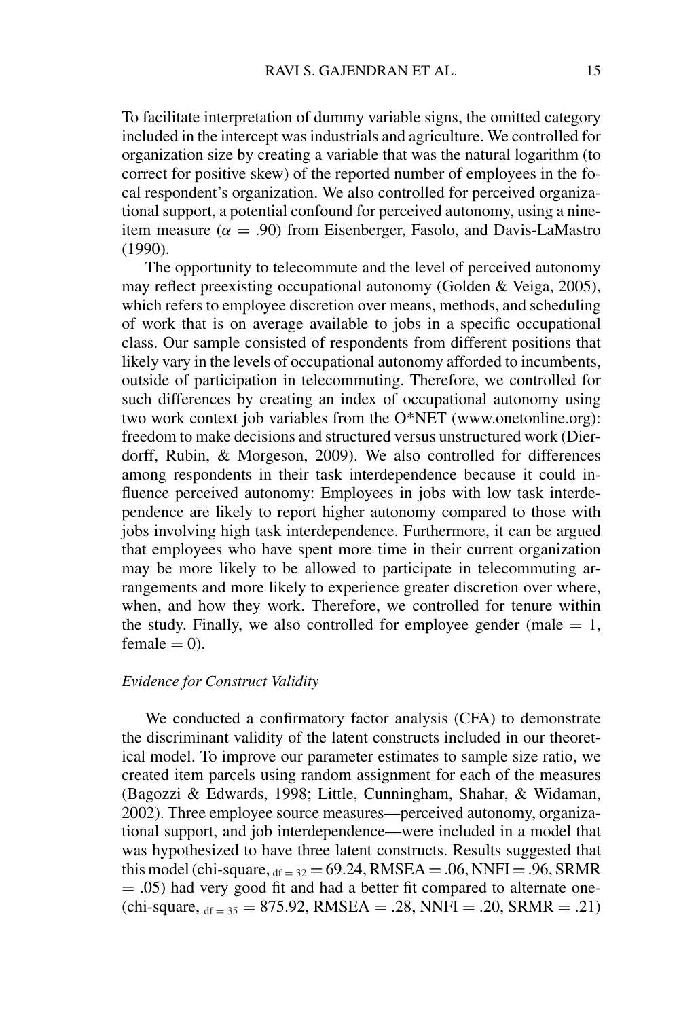To facilitate interpretation of dummy variable signs, the omitted category included in the intercept was industrials and agriculture. We controlled for organization size by creating a variable that was the natural logarithm (to correct for positive skew) of the reported number of employees in the focal respondent's organization. We also controlled for perceived organizational support, a potential confound for perceived autonomy, using a nineitem measure ( $\alpha = .90$ ) from Eisenberger, Fasolo, and Davis-LaMastro (1990).

The opportunity to telecommute and the level of perceived autonomy may reflect preexisting occupational autonomy (Golden & Veiga, 2005), which refers to employee discretion over means, methods, and scheduling of work that is on average available to jobs in a specific occupational class. Our sample consisted of respondents from different positions that likely vary in the levels of occupational autonomy afforded to incumbents, outside of participation in telecommuting. Therefore, we controlled for such differences by creating an index of occupational autonomy using two work context job variables from the O\*NET (www.onetonline.org): freedom to make decisions and structured versus unstructured work (Dierdorff, Rubin, & Morgeson, 2009). We also controlled for differences among respondents in their task interdependence because it could influence perceived autonomy: Employees in jobs with low task interdependence are likely to report higher autonomy compared to those with jobs involving high task interdependence. Furthermore, it can be argued that employees who have spent more time in their current organization may be more likely to be allowed to participate in telecommuting arrangements and more likely to experience greater discretion over where, when, and how they work. Therefore, we controlled for tenure within the study. Finally, we also controlled for employee gender (male  $= 1$ ,  $female = 0.$ 

### *Evidence for Construct Validity*

We conducted a confirmatory factor analysis (CFA) to demonstrate the discriminant validity of the latent constructs included in our theoretical model. To improve our parameter estimates to sample size ratio, we created item parcels using random assignment for each of the measures (Bagozzi & Edwards, 1998; Little, Cunningham, Shahar, & Widaman, 2002). Three employee source measures—perceived autonomy, organizational support, and job interdependence—were included in a model that was hypothesized to have three latent constructs. Results suggested that this model (chi-square,  $_{df = 32} = 69.24$ , RMSEA = .06, NNFI = .96, SRMR = .05) had very good fit and had a better fit compared to alternate one  $chi$ -square,  $df = 35 = 875.92$ , RMSEA = .28, NNFI = .20, SRMR = .21)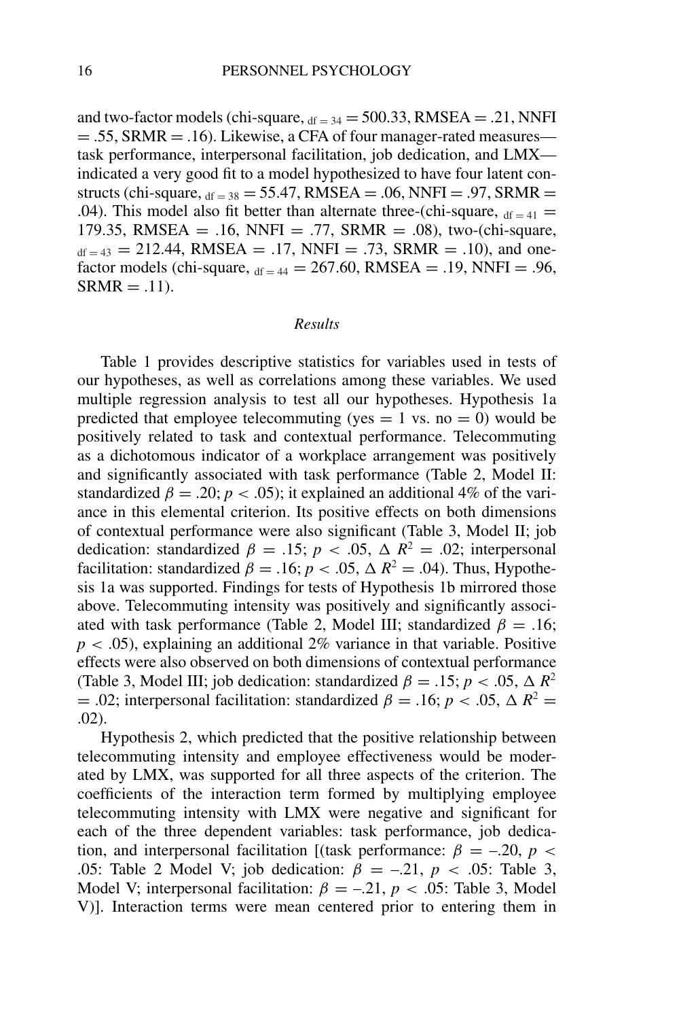and two-factor models (chi-square,  $_{df = 34} = 500.33$ , RMSEA = .21, NNFI  $= .55$ , SRMR  $= .16$ ). Likewise, a CFA of four manager-rated measures task performance, interpersonal facilitation, job dedication, and LMX indicated a very good fit to a model hypothesized to have four latent constructs (chi-square,  $_{df = 38} = 55.47$ , RMSEA = .06, NNFI = .97, SRMR = .04). This model also fit better than alternate three-(chi-square,  $df_{\text{eff}} = 41$ 179.35, RMSEA = .16, NNFI = .77, SRMR = .08), two-(chi-square,  $d_{df} = 43 = 212.44$ , RMSEA = .17, NNFI = .73, SRMR = .10), and onefactor models (chi-square,  $_{df = 44} = 267.60$ , RMSEA = .19, NNFI = .96,  $SRMR = .11$ ).

### *Results*

Table 1 provides descriptive statistics for variables used in tests of our hypotheses, as well as correlations among these variables. We used multiple regression analysis to test all our hypotheses. Hypothesis 1a predicted that employee telecommuting (yes  $= 1$  vs. no  $= 0$ ) would be positively related to task and contextual performance. Telecommuting as a dichotomous indicator of a workplace arrangement was positively and significantly associated with task performance (Table 2, Model II: standardized  $\beta = 0.20$ ;  $p < 0.05$ ); it explained an additional 4% of the variance in this elemental criterion. Its positive effects on both dimensions of contextual performance were also significant (Table 3, Model II; job dedication: standardized  $\beta = .15$ ;  $p < .05$ ,  $\Delta R^2 = .02$ ; interpersonal facilitation: standardized  $\beta = .16$ ;  $p < .05$ ,  $\Delta R^2 = .04$ ). Thus, Hypothesis 1a was supported. Findings for tests of Hypothesis 1b mirrored those above. Telecommuting intensity was positively and significantly associated with task performance (Table 2, Model III; standardized  $\beta = .16$ ;  $p < .05$ ), explaining an additional 2% variance in that variable. Positive effects were also observed on both dimensions of contextual performance (Table 3, Model III; job dedication: standardized  $\beta = .15$ ;  $p < .05$ ,  $\Delta R^2$ = .02; interpersonal facilitation: standardized  $\beta$  = .16; *p* < .05,  $\Delta R^2$  = .02).

Hypothesis 2, which predicted that the positive relationship between telecommuting intensity and employee effectiveness would be moderated by LMX, was supported for all three aspects of the criterion. The coefficients of the interaction term formed by multiplying employee telecommuting intensity with LMX were negative and significant for each of the three dependent variables: task performance, job dedication, and interpersonal facilitation [(task performance:  $\beta = -.20$ ,  $p <$ .05: Table 2 Model V; job dedication:  $\beta = -.21$ ,  $p < .05$ : Table 3, Model V; interpersonal facilitation:  $\beta = -0.21$ ,  $p < 0.05$ : Table 3, Model V)]. Interaction terms were mean centered prior to entering them in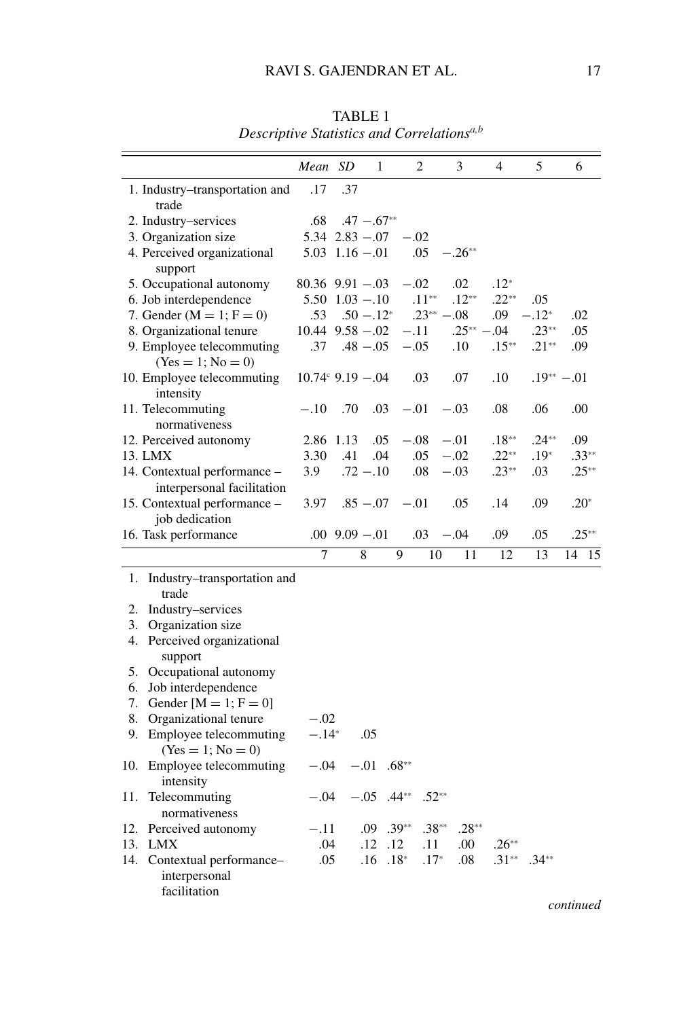|     |                                                            | Mean SD                     |                    | 1             |         | $\overline{c}$ |             | 3           | $\overline{4}$ | 5                | 6        |
|-----|------------------------------------------------------------|-----------------------------|--------------------|---------------|---------|----------------|-------------|-------------|----------------|------------------|----------|
|     | 1. Industry-transportation and<br>trade                    | .17                         | .37                |               |         |                |             |             |                |                  |          |
|     | 2. Industry-services                                       | .68                         |                    | $.47 - .67**$ |         |                |             |             |                |                  |          |
|     | 3. Organization size                                       | $5.34$ $2.83 - .07$         |                    |               |         | $-.02$         |             |             |                |                  |          |
|     | 4. Perceived organizational<br>support                     | $5.03$ $1.16 - .01$         |                    |               |         | .05            |             | $-.26**$    |                |                  |          |
|     | 5. Occupational autonomy                                   | $80.36$ $9.91 - .03$        |                    |               |         | $-.02$         |             | .02         | $.12*$         |                  |          |
|     | 6. Job interdependence                                     | $5.50$ $1.03 - 1.0$         |                    |               |         | $.11**$        |             | $.12**$     | $.22**$        | .05              |          |
|     | 7. Gender ( $M = 1$ ; $F = 0$ )                            | .53                         |                    | $.50 - .12^*$ |         |                | $.23**-.08$ |             | .09            | $-.12*$          | .02      |
|     | 8. Organizational tenure                                   | $10.44$ $9.58 - .02$        |                    |               |         | $-.11$         |             | $.25**-.04$ |                | $.23**$          | .05      |
|     | 9. Employee telecommuting<br>$(Yes = 1; No = 0)$           | .37                         |                    | $.48 - .05$   |         | $-.05$         |             | .10         | $.15**$        | $.21**$          | .09      |
|     | 10. Employee telecommuting<br>intensity                    | $10.74^{\circ}$ 9.19 - 0.04 |                    |               |         | .03            |             | .07         | .10            | $.19^{**} - .01$ |          |
|     | 11. Telecommuting<br>normativeness                         | $-.10$                      | .70                | .03           |         | $-.01$         |             | $-.03$      | .08            | .06              | .00      |
|     | 12. Perceived autonomy                                     | 2.86 1.13                   |                    | .05           |         | $-.08$         |             | $-.01$      | $.18**$        | $.24**$          | .09      |
|     | 13. LMX                                                    | 3.30                        | .41                | .04           |         | .05            |             | $-.02$      | $.22**$        | $.19*$           | $.33**$  |
|     | 14. Contextual performance -<br>interpersonal facilitation | 3.9                         |                    | $.72 - .10$   |         | .08            |             | $-.03$      | $.23**$        | .03              | $.25**$  |
|     | 15. Contextual performance -<br>job dedication             | 3.97                        |                    | $.85 - .07$   |         | $-.01$         |             | .05         | .14            | .09              | $.20*$   |
|     | 16. Task performance                                       |                             | $.00$ $9.09 - .01$ |               |         | .03            |             | $-.04$      | .09            | .05              | $.25**$  |
|     |                                                            | 7                           |                    | 8             | 9       |                | 10          | 11          | 12             | 13               | 14<br>15 |
| 1.  | Industry–transportation and<br>trade                       |                             |                    |               |         |                |             |             |                |                  |          |
| 2.  | Industry–services                                          |                             |                    |               |         |                |             |             |                |                  |          |
| 3.  | Organization size                                          |                             |                    |               |         |                |             |             |                |                  |          |
| 4.  | Perceived organizational<br>support                        |                             |                    |               |         |                |             |             |                |                  |          |
| 5.  | Occupational autonomy                                      |                             |                    |               |         |                |             |             |                |                  |          |
| 6.  | Job interdependence                                        |                             |                    |               |         |                |             |             |                |                  |          |
| 7.  | Gender $[M = 1; F = 0]$                                    |                             |                    |               |         |                |             |             |                |                  |          |
| 8.  | Organizational tenure                                      | $-.02$                      |                    |               |         |                |             |             |                |                  |          |
| 9.  | Employee telecommuting<br>$(Yes = 1; No = 0)$              | $-.14*$                     |                    | .05           |         |                |             |             |                |                  |          |
| 10. | Employee telecommuting<br>intensity                        | $-.04$                      |                    | $-.01$        | $.68**$ |                |             |             |                |                  |          |
| 11. | Telecommuting<br>normativeness                             | $-.04$                      |                    | $-.05$        | $.44**$ |                | $.52**$     |             |                |                  |          |
| 12. | Perceived autonomy                                         | $-.11$                      |                    | .09           | $.39**$ |                | $.38**$     | $.28**$     |                |                  |          |
| 13. | LMX                                                        | .04                         |                    | .12           | .12     |                | .11         | .00         | $.26**$        |                  |          |
| 14. | Contextual performance-<br>interpersonal<br>facilitation   | .05                         |                    | .16           | $.18*$  |                | $.17*$      | .08         | $.31**$        | $.34**$          |          |

TABLE 1 *Descriptive Statistics and Correlationsa,b*

*continued*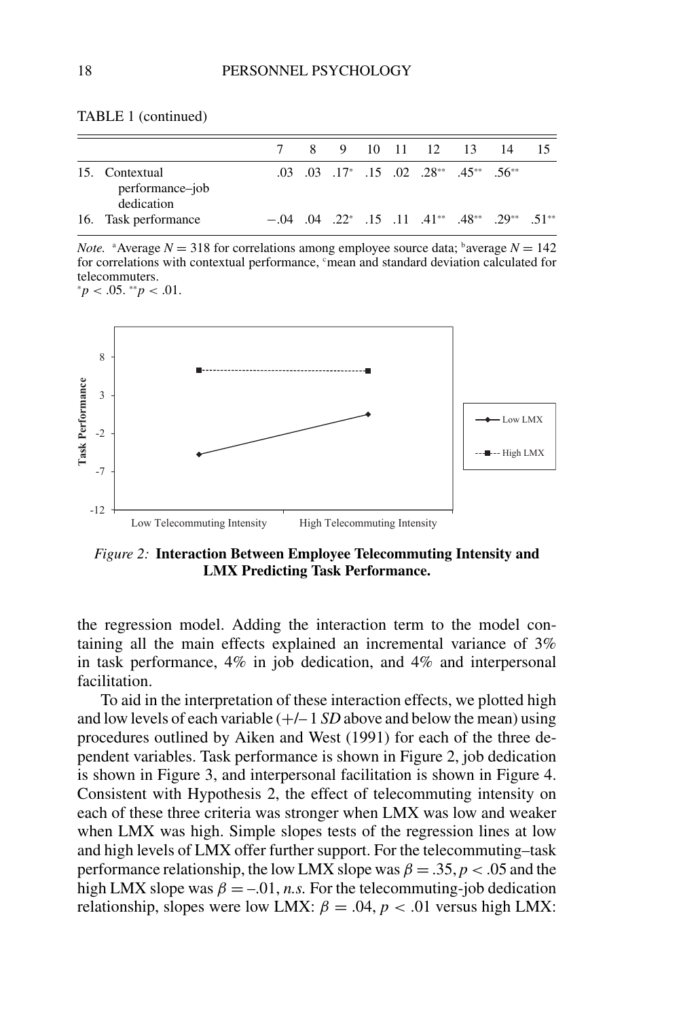|  | TABLE 1 (continued) |
|--|---------------------|
|--|---------------------|

|                                                 |  |  |  | 8 9 10 11 12 13 14                                               |                                                                                       |  |
|-------------------------------------------------|--|--|--|------------------------------------------------------------------|---------------------------------------------------------------------------------------|--|
| 15. Contextual<br>performance-job<br>dedication |  |  |  | $.03$ $.03$ $.17^*$ $.15$ $.02$ $.28^{**}$ $.45^{**}$ $.56^{**}$ |                                                                                       |  |
| 16. Task performance                            |  |  |  |                                                                  | $-0.04$ $0.04$ $0.22^*$ $0.15$ $0.11$ $0.41^{**}$ $0.48^{**}$ $0.29^{**}$ $0.51^{**}$ |  |

*Note.* <sup>a</sup> Average  $N = 318$  for correlations among employee source data; <sup>b</sup> average  $N = 142$ for correlations with contextual performance, <sup>c</sup>mean and standard deviation calculated for telecommuters. <sup>∗</sup>*p* < .05. ∗∗*p* < .01.



*Figure 2:* **Interaction Between Employee Telecommuting Intensity and LMX Predicting Task Performance.**

the regression model. Adding the interaction term to the model containing all the main effects explained an incremental variance of 3% in task performance, 4% in job dedication, and 4% and interpersonal facilitation.

To aid in the interpretation of these interaction effects, we plotted high and low levels of each variable  $(+/- 1 SD)$  above and below the mean) using procedures outlined by Aiken and West (1991) for each of the three dependent variables. Task performance is shown in Figure 2, job dedication is shown in Figure 3, and interpersonal facilitation is shown in Figure 4. Consistent with Hypothesis 2, the effect of telecommuting intensity on each of these three criteria was stronger when LMX was low and weaker when LMX was high. Simple slopes tests of the regression lines at low and high levels of LMX offer further support. For the telecommuting–task performance relationship, the low LMX slope was  $\beta = 0.35$ ,  $p < 0.05$  and the high LMX slope was  $\beta = -0.01$ , *n.s.* For the telecommuting-job dedication relationship, slopes were low LMX:  $\beta = .04$ ,  $p < .01$  versus high LMX: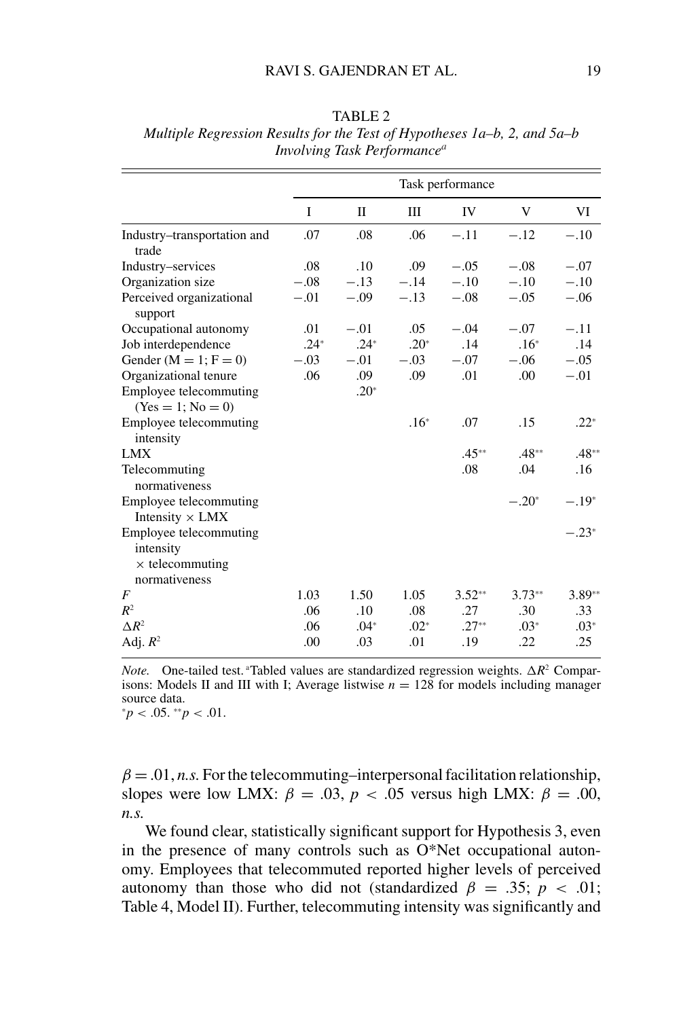|                                                                                |        |        |        | Task performance |          |          |
|--------------------------------------------------------------------------------|--------|--------|--------|------------------|----------|----------|
|                                                                                | I      | П      | Ш      | IV               | V        | VI       |
| Industry-transportation and<br>trade                                           | .07    | .08    | .06    | $-.11$           | $-.12$   | $-.10$   |
| Industry-services                                                              | .08    | .10    | .09    | $-.05$           | $-.08$   | $-.07$   |
| Organization size                                                              | $-.08$ | $-.13$ | $-.14$ | $-.10$           | $-.10$   | $-.10$   |
| Perceived organizational<br>support                                            | $-.01$ | $-.09$ | $-.13$ | $-.08$           | $-.05$   | $-.06$   |
| Occupational autonomy                                                          | .01    | $-.01$ | .05    | $-.04$           | $-.07$   | $-.11$   |
| Job interdependence                                                            | $.24*$ | $.24*$ | $.20*$ | .14              | $.16*$   | .14      |
| Gender ( $M = 1$ ; $F = 0$ )                                                   | $-.03$ | $-.01$ | $-.03$ | $-.07$           | $-.06$   | $-.05$   |
| Organizational tenure                                                          | .06    | .09    | .09    | .01              | .00      | $-.01$   |
| Employee telecommuting<br>$(Yes = 1; No = 0)$                                  |        | $.20*$ |        |                  |          |          |
| Employee telecommuting<br>intensity                                            |        |        | $.16*$ | .07              | .15      | $.22*$   |
| <b>LMX</b>                                                                     |        |        |        | $.45**$          | $.48**$  | $.48**$  |
| Telecommuting<br>normativeness                                                 |        |        |        | .08              | .04      | .16      |
| Employee telecommuting<br>Intensity $\times$ LMX                               |        |        |        |                  | $-.20*$  | $-.19*$  |
| Employee telecommuting<br>intensity<br>$\times$ telecommuting<br>normativeness |        |        |        |                  |          | $-.23*$  |
| F                                                                              | 1.03   | 1.50   | 1.05   | $3.52**$         | $3.73**$ | $3.89**$ |
| $R^2$                                                                          | .06    | .10    | .08    | .27              | .30      | .33      |
| $\Delta R^2$                                                                   | .06    | $.04*$ | $.02*$ | $.27**$          | $.03*$   | $.03*$   |
| Adj. $R^2$                                                                     | .00    | .03    | .01    | .19              | .22      | .25      |

TABLE 2 *Multiple Regression Results for the Test of Hypotheses 1a–b, 2, and 5a–b Involving Task Performancea*

*Note.* One-tailed test. <sup>a</sup>Tabled values are standardized regression weights.  $\Delta R^2$  Comparisons: Models II and III with I; Average listwise  $n = 128$  for models including manager source data.

<sup>∗</sup>*p* < .05. ∗∗*p* < .01.

 $\beta = .01$ , *n.s.* For the telecommuting–interpersonal facilitation relationship, slopes were low LMX:  $\beta = .03$ ,  $p < .05$  versus high LMX:  $\beta = .00$ , *n.s.*

We found clear, statistically significant support for Hypothesis 3, even in the presence of many controls such as O\*Net occupational autonomy. Employees that telecommuted reported higher levels of perceived autonomy than those who did not (standardized  $\beta = .35$ ;  $p < .01$ ; Table 4, Model II). Further, telecommuting intensity was significantly and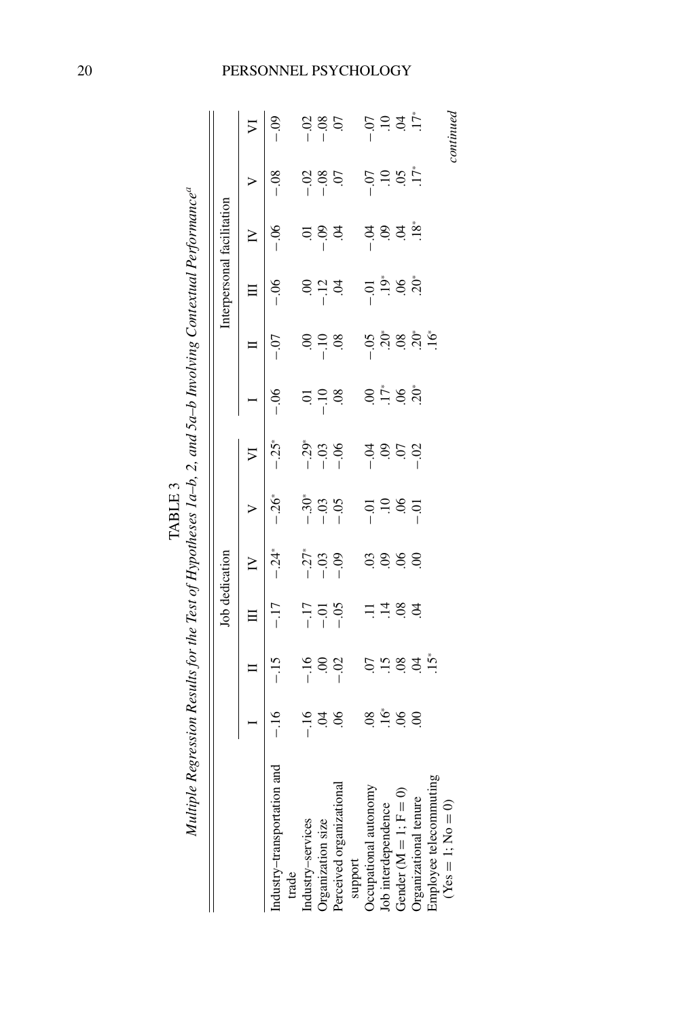|                                      |                    |                                          |                                           | Job dedication                              |                               |                       |                                           |                                 | Interpersonal facilitation |                           |              |                                           |
|--------------------------------------|--------------------|------------------------------------------|-------------------------------------------|---------------------------------------------|-------------------------------|-----------------------|-------------------------------------------|---------------------------------|----------------------------|---------------------------|--------------|-------------------------------------------|
|                                      |                    |                                          |                                           | $\geq$                                      | ⋗                             | ⋝                     |                                           | E                               |                            | ≧                         | >            | $\triangleright$                          |
| Industry-transportation and<br>trade | $-16$              | $-15$                                    | $-17$                                     | $-24$                                       | $-26*$                        | $-.25*$               | $-0.6$                                    | $-0$                            | $-06$                      | $-0.06$                   | $-0.8$       | $-0.9$                                    |
| Industry-services                    |                    |                                          |                                           |                                             |                               |                       |                                           |                                 |                            |                           |              |                                           |
| Organization size                    | $-16$<br>$-16$     | $-16$<br>30                              | $-17$<br>$-17$                            | $\begin{array}{c} 7.73 \\ -1.1 \end{array}$ | $-30^{\circ}$<br>- 03<br>- 05 | $-29$<br>$-1$<br>$-1$ | $-10$<br>30.                              | 69.98                           |                            | <u></u><br>इ. १९ ड        | 8 % si<br>Si | $\frac{8}{1}$ $\frac{8}{1}$ $\frac{5}{1}$ |
| Perceived organizational             | $\infty$           | $-02$                                    | $-0.5$                                    |                                             |                               |                       |                                           |                                 |                            |                           |              |                                           |
| support                              |                    |                                          |                                           |                                             |                               |                       |                                           |                                 |                            |                           |              |                                           |
| Occupational autonomy                | $\overline{0}$ .   |                                          |                                           | $\ddot{\mathrm{c}}$                         |                               |                       | $\mathcal{S}$                             |                                 | $-0$ .                     |                           |              |                                           |
| Job interdependence                  | $\frac{1}{2}$ 8, 8 |                                          | $\frac{1}{4}$ $\frac{6}{8}$ $\frac{6}{4}$ | 888                                         | $\ddot{=}$                    | si si si<br>1         | $\frac{1}{2}$ $\frac{1}{2}$ $\frac{1}{2}$ |                                 | es e é                     | ಕ್ಷ ತ್ರಿ ಕ್ಷ <u>.</u><br> | $-0.7$       | 5 = 3 = 5<br>1                            |
| Gender $(M = 1; F = 0)$              |                    |                                          |                                           |                                             | 96                            |                       |                                           |                                 |                            |                           | $5.17*$      |                                           |
| Organizational tenure                |                    | $\ddot{a}$ is $\ddot{a}$ is $\ddot{a}$ . |                                           |                                             | $-0$                          | $-02$                 |                                           | ទី<br>ខ្ញុំ នី ខ្ញុំ ដូ<br>ត្រី |                            |                           |              |                                           |
| Employee telecommuting               |                    |                                          |                                           |                                             |                               |                       |                                           |                                 |                            |                           |              |                                           |
| $(Yes = 1; No = 0)$                  |                    |                                          |                                           |                                             |                               |                       |                                           |                                 |                            |                           |              | continued                                 |
|                                      |                    |                                          |                                           |                                             |                               |                       |                                           |                                 |                            |                           |              |                                           |

## 20 PERSONNEL PSYCHOLOGY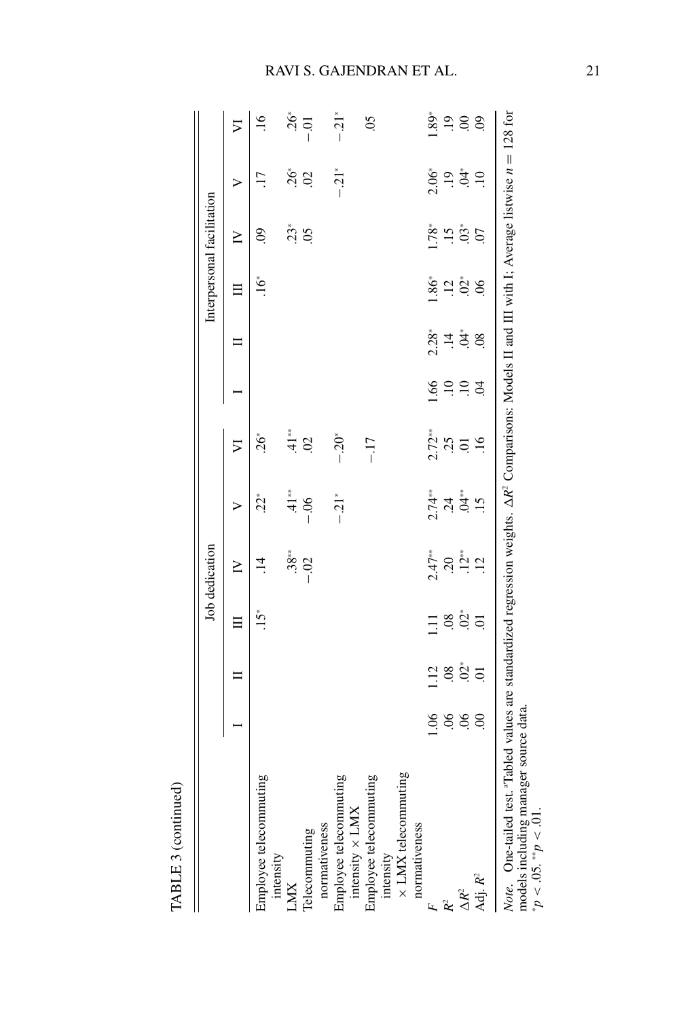|                                                                                                                                                               |                |                |                | Job dedication   |                      |                            |                 |                             |                 | Interpersonal facilitation |                             |                           |
|---------------------------------------------------------------------------------------------------------------------------------------------------------------|----------------|----------------|----------------|------------------|----------------------|----------------------------|-----------------|-----------------------------|-----------------|----------------------------|-----------------------------|---------------------------|
|                                                                                                                                                               |                |                |                | Σ                | ⋗                    | $\overline{\triangledown}$ |                 |                             |                 | $\geq$                     | ⋗                           | $\triangleright$          |
| Employee telecommuting<br>intensity                                                                                                                           |                |                | ڑ1.            |                  | $22*$                | $.26*$                     |                 |                             | $\ddot{6}$      | S                          | $\overline{17}$             | $\ddot{=}$                |
| LMX                                                                                                                                                           |                |                |                | $.38**$          | $41**$               | $41**$                     |                 |                             |                 | $23*$                      |                             | $.26*$                    |
| Telecommuting                                                                                                                                                 |                |                |                | $-.02$           | $-0.06$              | $\mathcal{S}$              |                 |                             |                 | $\overline{0}$             | <u>ໍ່ຮຸ ຊ</u>               | $-0$                      |
| normativeness                                                                                                                                                 |                |                |                |                  |                      |                            |                 |                             |                 |                            |                             |                           |
| Employee telecommuting<br>intensity $\times$ LMX                                                                                                              |                |                |                |                  | $-.21*$              | $-0.20*$                   |                 |                             |                 |                            | $-.21*$                     | $-.21*$                   |
| Employee telecommuting                                                                                                                                        |                |                |                |                  |                      | $-17$                      |                 |                             |                 |                            |                             | $\widetilde{\mathrm{SO}}$ |
| × LMX telecommuting<br>intensity                                                                                                                              |                |                |                |                  |                      |                            |                 |                             |                 |                            |                             |                           |
| normativeness                                                                                                                                                 |                |                |                |                  |                      |                            |                 |                             |                 |                            |                             |                           |
|                                                                                                                                                               | $\frac{8}{1}$  | 12             | Ξ              | $2.47**$         | $2.74**$             | $2.72**$                   | $-1.66$         | $2.28*$                     | $\ddot{8}6^*$   | 1.78*                      | $2.06^{\circ}$              | $.89*$                    |
| $\tilde{R}$                                                                                                                                                   | $\frac{6}{2}$  | .08            | 08             | $\overline{c}$ . | $\ddot{c}$           | .25                        | $\overline{10}$ | $\ddot{=}$                  | $\overline{12}$ | $\ddot{5}$                 | $\overline{0}$              | $\overline{.}19$          |
| $\Delta R^2$                                                                                                                                                  | $\overline{0}$ | $02*$          | $\ddot{O}^*$   | $.12*$           | $\ddot{\tilde{A}}^*$ | C.                         | $\overline{10}$ | $\stackrel{*}{\mathcal{L}}$ | $\mathcal{O}^*$ | $.03*$                     | $\stackrel{*}{\mathcal{L}}$ | $\infty$                  |
| Adj. $R^2$                                                                                                                                                    | $\overline{0}$ | $\overline{c}$ | $\overline{0}$ | $\overline{12}$  | $\overline{.15}$     | 16                         | S.              | $\overline{08}$             | $\infty$        | $\overline{0}$ .           | $\ddot{=}$                  | $\mathcal{S}$             |
| Note. One-tailed test. "Tabled values are standardized regression weights. $\Delta R^2$ Comparisons: Models II and III with I; Average listwise $n = 128$ for |                |                |                |                  |                      |                            |                 |                             |                 |                            |                             |                           |

TABLE 3 (continued)

TABLE 3 (continued)

# RAVI S. GAJENDRAN ET AL. 21

models including manager source data.

∗*<sup>p</sup>*

 $< 0.05$ . <sup>\*\*</sup> $p < 0.01$ .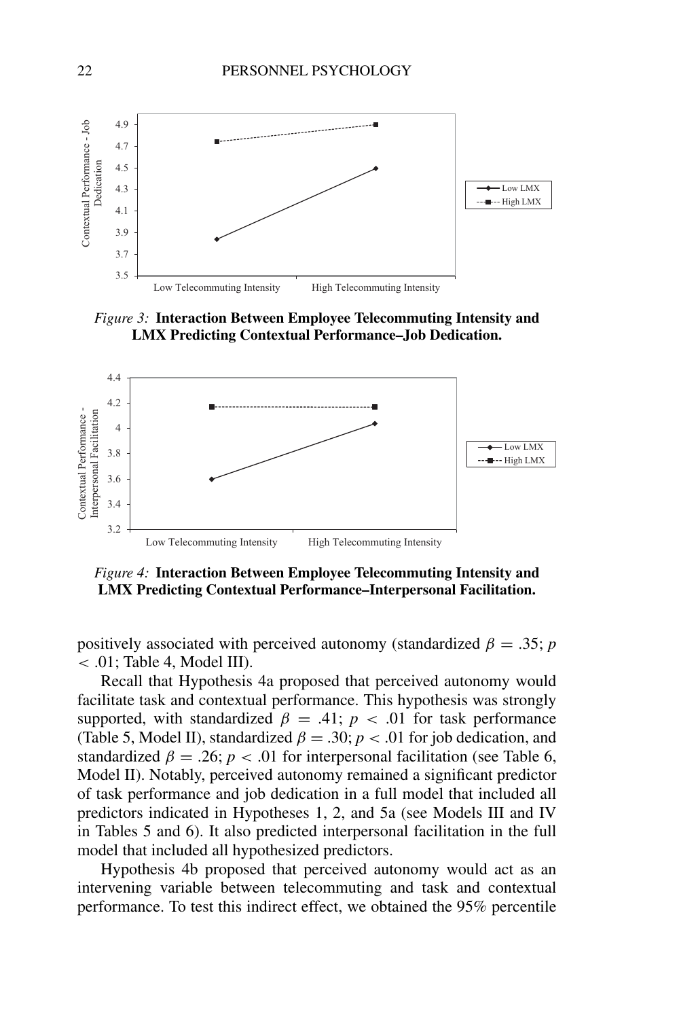

*Figure 3:* **Interaction Between Employee Telecommuting Intensity and LMX Predicting Contextual Performance–Job Dedication.**



*Figure 4:* **Interaction Between Employee Telecommuting Intensity and LMX Predicting Contextual Performance–Interpersonal Facilitation.**

positively associated with perceived autonomy (standardized  $\beta = .35$ ; *p*  $<$  .01; Table 4, Model III).

Recall that Hypothesis 4a proposed that perceived autonomy would facilitate task and contextual performance. This hypothesis was strongly supported, with standardized  $\beta = .41$ ;  $p < .01$  for task performance (Table 5, Model II), standardized  $\beta = .30$ ;  $p < .01$  for job dedication, and standardized  $\beta = .26$ ;  $p < .01$  for interpersonal facilitation (see Table 6, Model II). Notably, perceived autonomy remained a significant predictor of task performance and job dedication in a full model that included all predictors indicated in Hypotheses 1, 2, and 5a (see Models III and IV in Tables 5 and 6). It also predicted interpersonal facilitation in the full model that included all hypothesized predictors.

Hypothesis 4b proposed that perceived autonomy would act as an intervening variable between telecommuting and task and contextual performance. To test this indirect effect, we obtained the 95% percentile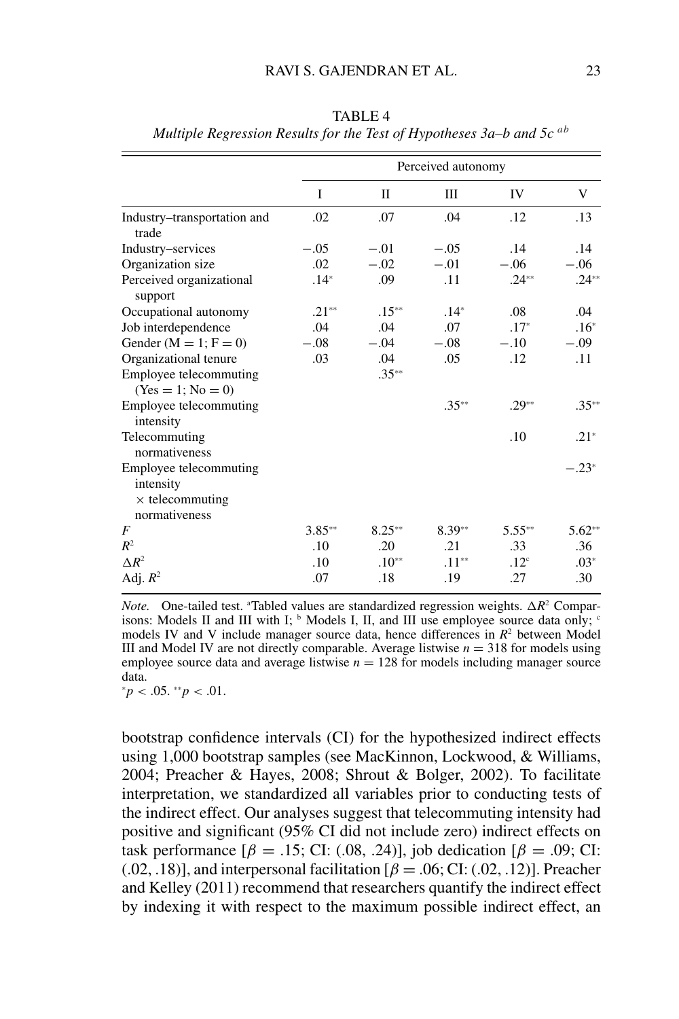|                                                                                |          |          | Perceived autonomy |                  |          |
|--------------------------------------------------------------------------------|----------|----------|--------------------|------------------|----------|
|                                                                                | I        | П        | Ш                  | IV               | V        |
| Industry-transportation and<br>trade                                           | .02      | .07      | .04                | .12              | .13      |
| Industry-services                                                              | $-.05$   | $-.01$   | $-.05$             | .14              | .14      |
| Organization size                                                              | .02      | $-.02$   | $-.01$             | $-.06$           | $-.06$   |
| Perceived organizational<br>support                                            | $.14*$   | .09      | .11                | $.24**$          | $.24**$  |
| Occupational autonomy                                                          | $.21**$  | $.15**$  | $.14*$             | .08              | .04      |
| Job interdependence                                                            | .04      | .04      | .07                | $.17*$           | $.16*$   |
| Gender ( $M = 1$ ; $F = 0$ )                                                   | $-.08$   | $-.04$   | $-.08$             | $-.10$           | $-.09$   |
| Organizational tenure                                                          | .03      | .04      | .05                | .12              | .11      |
| Employee telecommuting<br>$(Yes = 1; No = 0)$                                  |          | $.35**$  |                    |                  |          |
| Employee telecommuting<br>intensity                                            |          |          | $.35**$            | $.29**$          | $.35**$  |
| Telecommuting<br>normativeness                                                 |          |          |                    | .10              | $.21*$   |
| Employee telecommuting<br>intensity<br>$\times$ telecommuting<br>normativeness |          |          |                    |                  | $-.23*$  |
| F                                                                              | $3.85**$ | $8.25**$ | $8.39**$           | $5.55***$        | $5.62**$ |
| $R^2$                                                                          | .10      | .20      | .21                | .33              | .36      |
| $\Delta R^2$                                                                   | .10      | $.10**$  | $.11**$            | .12 <sup>c</sup> | $.03*$   |
| Adj. $R^2$                                                                     | .07      | .18      | .19                | .27              | .30      |

TABLE 4 *Multiple Regression Results for the Test of Hypotheses 3a–b and 5c ab*

*Note.* One-tailed test. <sup>a</sup>Tabled values are standardized regression weights.  $\Delta R^2$  Comparisons: Models II and III with I;  $\frac{b}{b}$  Models I, II, and III use employee source data only;  $\frac{c}{c}$ models IV and V include manager source data, hence differences in  $R<sup>2</sup>$  between Model III and Model IV are not directly comparable. Average listwise  $n = 318$  for models using employee source data and average listwise  $n = 128$  for models including manager source data.

<sup>∗</sup>*p* < .05. ∗∗*p* < .01.

bootstrap confidence intervals (CI) for the hypothesized indirect effects using 1,000 bootstrap samples (see MacKinnon, Lockwood, & Williams, 2004; Preacher & Hayes, 2008; Shrout & Bolger, 2002). To facilitate interpretation, we standardized all variables prior to conducting tests of the indirect effect. Our analyses suggest that telecommuting intensity had positive and significant (95% CI did not include zero) indirect effects on task performance  $[\beta = .15;$  CI: (.08, .24)], job dedication  $[\beta = .09;$  CI:  $(0.02, 0.18)$ ], and interpersonal facilitation  $\beta = 0.06$ ; CI:  $(0.02, 0.12)$ ]. Preacher and Kelley (2011) recommend that researchers quantify the indirect effect by indexing it with respect to the maximum possible indirect effect, an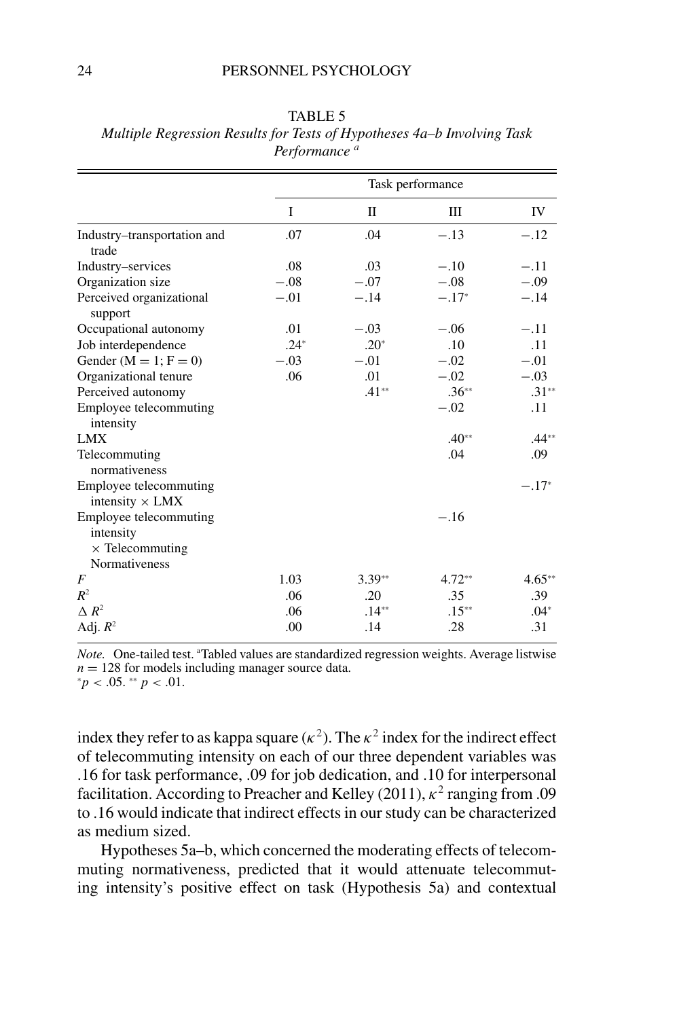|                                                                                |        |              | Task performance |           |
|--------------------------------------------------------------------------------|--------|--------------|------------------|-----------|
|                                                                                | I      | $\mathbf{I}$ | Ш                | IV        |
| Industry-transportation and<br>trade                                           | .07    | .04          | $-.13$           | $-.12$    |
| Industry-services                                                              | .08    | .03          | $-.10$           | $-.11$    |
| Organization size                                                              | $-.08$ | $-.07$       | $-.08$           | $-.09$    |
| Perceived organizational<br>support                                            | $-.01$ | $-.14$       | $-.17*$          | $-.14$    |
| Occupational autonomy                                                          | .01    | $-.03$       | $-.06$           | $-.11$    |
| Job interdependence                                                            | $.24*$ | $.20*$       | .10              | .11       |
| Gender ( $M = 1$ ; $F = 0$ )                                                   | $-.03$ | $-.01$       | $-.02$           | $-.01$    |
| Organizational tenure                                                          | .06    | .01          | $-.02$           | $-.03$    |
| Perceived autonomy                                                             |        | $.41**$      | $.36**$          | $.31**$   |
| Employee telecommuting<br>intensity                                            |        |              | $-.02$           | .11       |
| <b>LMX</b>                                                                     |        |              | $.40**$          | $.44**$   |
| Telecommuting<br>normativeness                                                 |        |              | .04              | .09       |
| Employee telecommuting<br>intensity $\times$ LMX                               |        |              |                  | $-.17*$   |
| Employee telecommuting<br>intensity<br>$\times$ Telecommuting<br>Normativeness |        |              | $-.16$           |           |
| F                                                                              | 1.03   | $3.39**$     | $4.72**$         | $4.65***$ |
| $R^2$                                                                          | .06    | .20          | .35              | .39       |
| $\Delta R^2$                                                                   | .06    | $.14**$      | $.15**$          | $.04*$    |
| Adj. $R^2$                                                                     | .00    | .14          | .28              | .31       |

TABLE 5 *Multiple Regression Results for Tests of Hypotheses 4a–b Involving Task Performance <sup>a</sup>*

Note. One-tailed test. <sup>a</sup>Tabled values are standardized regression weights. Average listwise *n* = 128 for models including manager source data. ∗*p* < .05. <sup>\*</sup>\* *p* < .01.

index they refer to as kappa square ( $\kappa^2$ ). The  $\kappa^2$  index for the indirect effect of telecommuting intensity on each of our three dependent variables was .16 for task performance, .09 for job dedication, and .10 for interpersonal facilitation. According to Preacher and Kelley (2011),  $\kappa^2$  ranging from .09 to .16 would indicate that indirect effects in our study can be characterized as medium sized.

Hypotheses 5a–b, which concerned the moderating effects of telecommuting normativeness, predicted that it would attenuate telecommuting intensity's positive effect on task (Hypothesis 5a) and contextual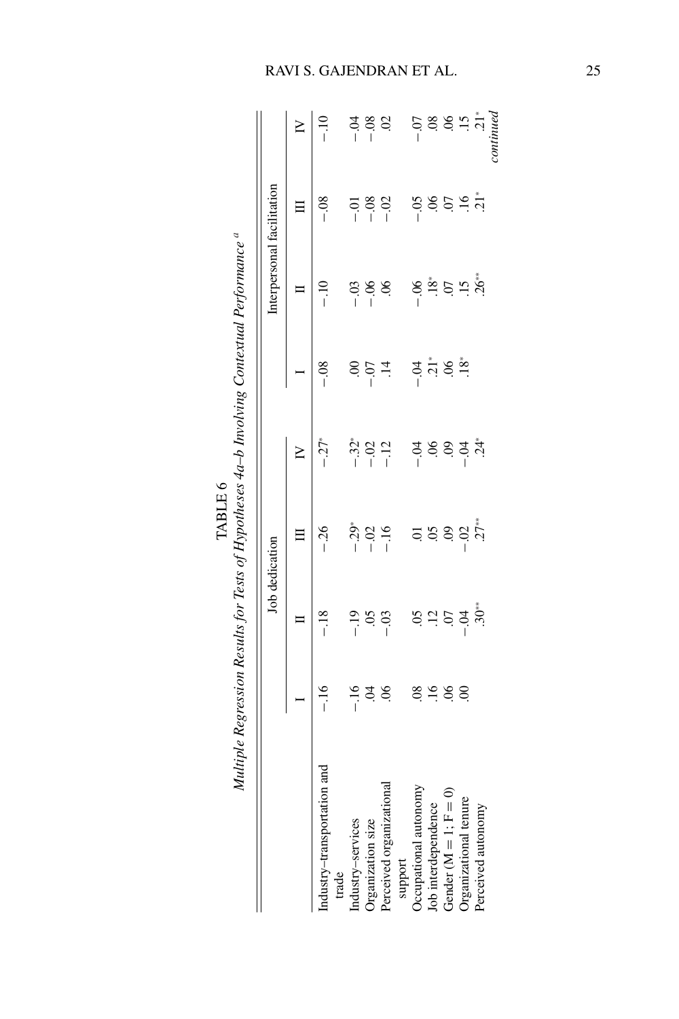Multiple Regression Results for Tests of Hypotheses 4a–b Involving Contextual Performance<sup>a</sup> Multiple Regression Results for Tests of Hypotheses 4a-b Involving Contextual Performance <sup>a</sup> TABLE 6

|                            |               |                                                 | Job dedication                                                                                                                                                                                                                                                               |                         |                                                                                  |                                                 | Interpersonal facilitation                 |                                                        |
|----------------------------|---------------|-------------------------------------------------|------------------------------------------------------------------------------------------------------------------------------------------------------------------------------------------------------------------------------------------------------------------------------|-------------------------|----------------------------------------------------------------------------------|-------------------------------------------------|--------------------------------------------|--------------------------------------------------------|
|                            |               | ⊨                                               |                                                                                                                                                                                                                                                                              | $\geq$                  |                                                                                  |                                                 | Ξ                                          | $\geq$                                                 |
| ransportation and<br>trade | $-16$         | $-18$                                           | $-26$                                                                                                                                                                                                                                                                        | $-27*$                  | $-0.8$                                                                           | $-10$                                           | $-0.8$                                     | $-10$                                                  |
| Industry-services          | $-16$         |                                                 |                                                                                                                                                                                                                                                                              |                         | $\mathcal{S}$                                                                    | $-0.3$                                          |                                            |                                                        |
| Organization size          |               | $rac{30}{1}$                                    | $-29$<br>$-16$<br>$-16$                                                                                                                                                                                                                                                      | $-32$<br>$-12$<br>$-12$ | $-0$                                                                             |                                                 | $\begin{array}{c} 588 \\ -111 \end{array}$ | $\begin{array}{c}\n 3.6 \\  4.6 \\  3.6\n \end{array}$ |
| Perceived organizationa    | $\ddot{S}$    | $-03$                                           |                                                                                                                                                                                                                                                                              |                         | $\overline{14}$                                                                  | $-0.6$                                          |                                            |                                                        |
| support                    |               |                                                 |                                                                                                                                                                                                                                                                              |                         |                                                                                  |                                                 |                                            |                                                        |
| Occupational autonomy      |               |                                                 |                                                                                                                                                                                                                                                                              |                         |                                                                                  |                                                 | $-0.5$                                     |                                                        |
| Job interdependence        |               |                                                 |                                                                                                                                                                                                                                                                              |                         |                                                                                  |                                                 |                                            |                                                        |
| Gender $(M = 1; F = 0)$    | <b>siziss</b> | $\begin{array}{c}\n52 \\ 64 \\ 65\n\end{array}$ | $\frac{3}{2}$<br>$\frac{3}{2}$<br>$\frac{3}{2}$<br>$\frac{3}{2}$<br>$\frac{3}{2}$<br>$\frac{3}{2}$<br>$\frac{3}{2}$<br>$\frac{3}{2}$<br>$\frac{3}{2}$<br>$\frac{3}{2}$<br>$\frac{3}{2}$<br>$\frac{3}{2}$<br>$\frac{3}{2}$<br>$\frac{3}{2}$<br>$\frac{3}{2}$<br>$\frac{3}{2}$ | उँ ३ ३ ३ ५<br>न         | $\ddot{a}$<br>$\ddot{b}$<br>$\ddot{c}$<br>$\ddot{c}$<br>$\ddot{c}$<br>$\ddot{c}$ | $-0.88$<br>$-0.5$<br>$-0.5$<br>$-0.6$<br>$-0.5$ | 85977                                      | 5889.77                                                |
| Organizational tenure      |               |                                                 |                                                                                                                                                                                                                                                                              |                         |                                                                                  |                                                 |                                            |                                                        |
| Perceived autonomy         |               | $.30**$                                         |                                                                                                                                                                                                                                                                              |                         |                                                                                  |                                                 |                                            |                                                        |
|                            |               |                                                 |                                                                                                                                                                                                                                                                              |                         |                                                                                  |                                                 |                                            | continued                                              |

# RAVI S. GAJENDRAN ET AL. 25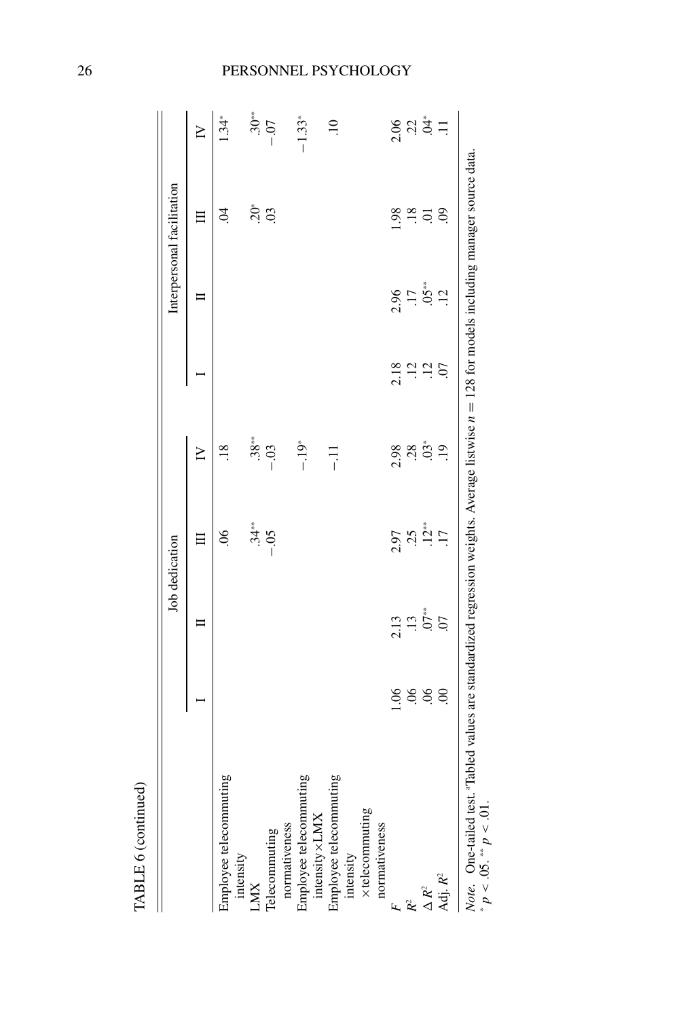|                                     |                |                | Job dedication            |                  |                 |                 | Interpersonal facilitation |                      |
|-------------------------------------|----------------|----------------|---------------------------|------------------|-----------------|-----------------|----------------------------|----------------------|
|                                     |                |                | 目                         | $\geq$           |                 | ᄇ               | $\Xi$                      | $\geq$               |
| Employee telecommuting<br>intensity |                |                | $\widetilde{\mathcal{S}}$ | $\frac{8}{18}$   |                 |                 | S.                         | 1.34*                |
| LMX                                 |                |                |                           | $.38**$          |                 |                 | $\ddot{5}$                 | $.30**$              |
| Telecommuting                       |                |                | $-34$<br>**<br>50.        | $-03$            |                 |                 | $\overline{0}$             | $-0.07$              |
| normativeness                       |                |                |                           |                  |                 |                 |                            |                      |
| Employee telecommuting              |                |                |                           | $-19*$           |                 |                 |                            | $-1.33*$             |
| intensity × LMX                     |                |                |                           |                  |                 |                 |                            |                      |
| Employee telecommuting<br>intensity |                |                |                           | $-11$            |                 |                 |                            | $\ddot{=}$           |
| xtelecommuting                      |                |                |                           |                  |                 |                 |                            |                      |
| normativeness                       |                |                |                           |                  |                 |                 |                            |                      |
| Ŀ                                   | 0.06           | 2.13           | 2.97                      | 2.98             | 2.18            | 2.96            | 1.98                       | 2.06                 |
| $\mathcal{R}^2$                     | 06             | $\ddot{13}$    | 25                        | 28               | $\overline{12}$ | $\overline{11}$ | $\overline{.18}$           | $\ddot{c}$           |
| $\Delta R^2$                        | 06             | $.07**$        | $.12**$                   | $\mathfrak{S}^*$ | $\overline{12}$ | $.05**$         | Э.                         | $\stackrel{*}{\sim}$ |
| Adj. R <sup>2</sup>                 | $\overline{0}$ | $\overline{0}$ | $\overline{11}$           | $\ddot{6}$       | $\overline{C}$  | $\ddot{5}$      | $\mathcal{S}$              | $\Xi$                |

TABLE 6 (continued)

## 26 PERSONNEL PSYCHOLOGY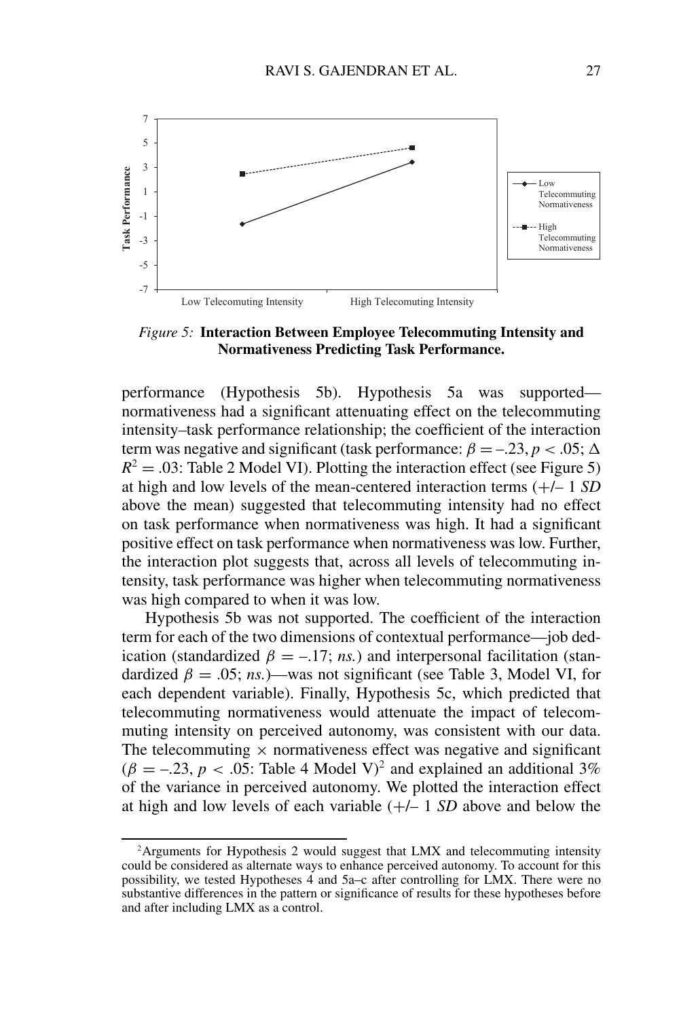

*Figure 5:* **Interaction Between Employee Telecommuting Intensity and Normativeness Predicting Task Performance.**

performance (Hypothesis 5b). Hypothesis 5a was supported normativeness had a significant attenuating effect on the telecommuting intensity–task performance relationship; the coefficient of the interaction term was negative and significant (task performance:  $\beta = -0.23$ ,  $p < 0.05$ ;  $\Delta$  $R^2 = .03$ : Table 2 Model VI). Plotting the interaction effect (see Figure 5) at high and low levels of the mean-centered interaction terms (+/– 1 *SD* above the mean) suggested that telecommuting intensity had no effect on task performance when normativeness was high. It had a significant positive effect on task performance when normativeness was low. Further, the interaction plot suggests that, across all levels of telecommuting intensity, task performance was higher when telecommuting normativeness was high compared to when it was low.

Hypothesis 5b was not supported. The coefficient of the interaction term for each of the two dimensions of contextual performance—job dedication (standardized  $\beta = -17$ ; *ns.*) and interpersonal facilitation (standardized  $\beta = .05$ ; *ns.*)—was not significant (see Table 3, Model VI, for each dependent variable). Finally, Hypothesis 5c, which predicted that telecommuting normativeness would attenuate the impact of telecommuting intensity on perceived autonomy, was consistent with our data. The telecommuting  $\times$  normativeness effect was negative and significant  $(\beta = -.23, p < .05$ : Table 4 Model V)<sup>2</sup> and explained an additional 3% of the variance in perceived autonomy. We plotted the interaction effect at high and low levels of each variable (+/– 1 *SD* above and below the

<sup>&</sup>lt;sup>2</sup>Arguments for Hypothesis 2 would suggest that LMX and telecommuting intensity could be considered as alternate ways to enhance perceived autonomy. To account for this possibility, we tested Hypotheses  $\vec{4}$  and 5a–c after controlling for LMX. There were no substantive differences in the pattern or significance of results for these hypotheses before and after including LMX as a control.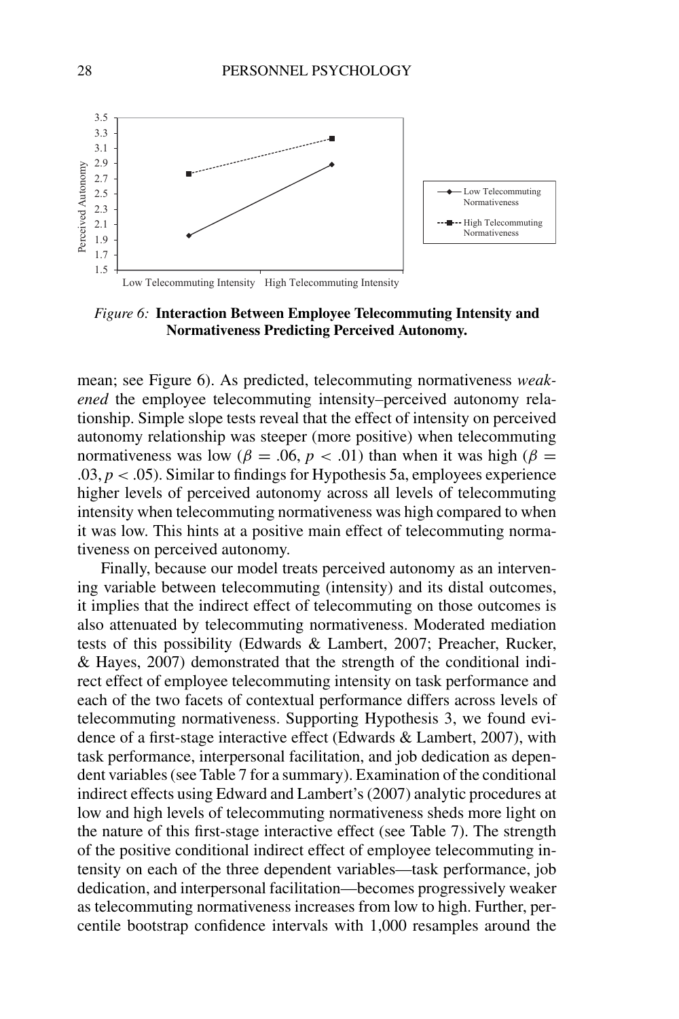

*Figure 6:* **Interaction Between Employee Telecommuting Intensity and Normativeness Predicting Perceived Autonomy.**

mean; see Figure 6). As predicted, telecommuting normativeness *weakened* the employee telecommuting intensity–perceived autonomy relationship. Simple slope tests reveal that the effect of intensity on perceived autonomy relationship was steeper (more positive) when telecommuting normativeness was low ( $\beta = .06$ ,  $p < .01$ ) than when it was high ( $\beta =$ .03,  $p < .05$ ). Similar to findings for Hypothesis 5a, employees experience higher levels of perceived autonomy across all levels of telecommuting intensity when telecommuting normativeness was high compared to when it was low. This hints at a positive main effect of telecommuting normativeness on perceived autonomy.

Finally, because our model treats perceived autonomy as an intervening variable between telecommuting (intensity) and its distal outcomes, it implies that the indirect effect of telecommuting on those outcomes is also attenuated by telecommuting normativeness. Moderated mediation tests of this possibility (Edwards & Lambert, 2007; Preacher, Rucker, & Hayes, 2007) demonstrated that the strength of the conditional indirect effect of employee telecommuting intensity on task performance and each of the two facets of contextual performance differs across levels of telecommuting normativeness. Supporting Hypothesis 3, we found evidence of a first-stage interactive effect (Edwards & Lambert, 2007), with task performance, interpersonal facilitation, and job dedication as dependent variables (see Table 7 for a summary). Examination of the conditional indirect effects using Edward and Lambert's (2007) analytic procedures at low and high levels of telecommuting normativeness sheds more light on the nature of this first-stage interactive effect (see Table 7). The strength of the positive conditional indirect effect of employee telecommuting intensity on each of the three dependent variables—task performance, job dedication, and interpersonal facilitation—becomes progressively weaker as telecommuting normativeness increases from low to high. Further, percentile bootstrap confidence intervals with 1,000 resamples around the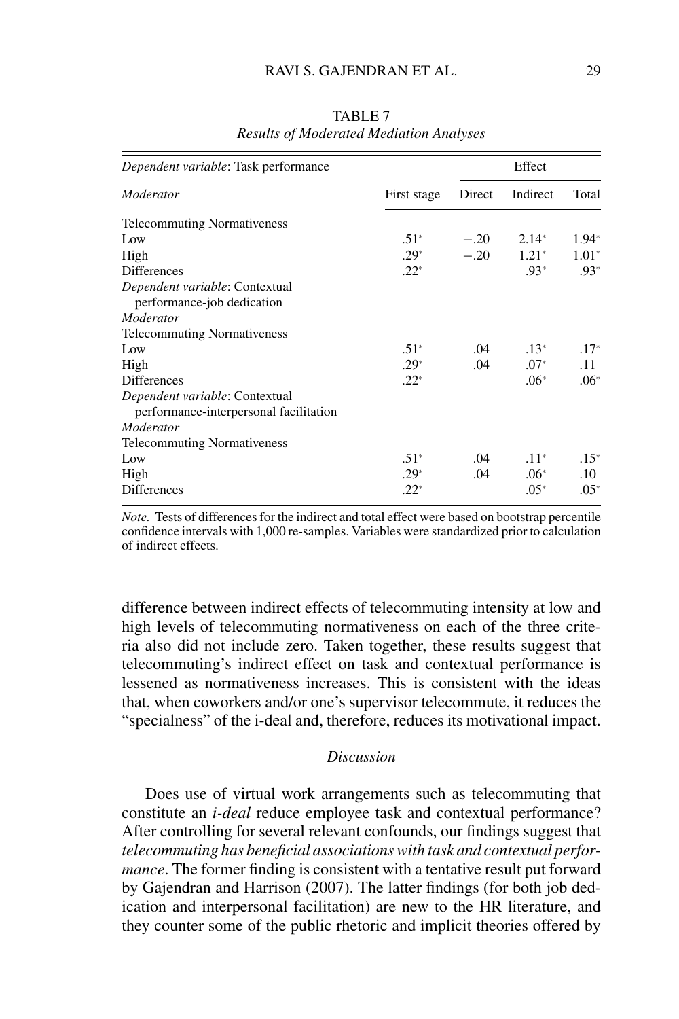| Dependent variable: Task performance                                     |             |        | Effect   |         |
|--------------------------------------------------------------------------|-------------|--------|----------|---------|
| Moderator                                                                | First stage | Direct | Indirect | Total   |
| <b>Telecommuting Normativeness</b>                                       |             |        |          |         |
| Low                                                                      | $.51*$      | $-.20$ | $2.14*$  | $1.94*$ |
| High                                                                     | $.29*$      | $-.20$ | $1.21*$  | $1.01*$ |
| <b>Differences</b>                                                       | $.22*$      |        | $.93*$   | $.93*$  |
| Dependent variable: Contextual<br>performance-job dedication             |             |        |          |         |
| Moderator                                                                |             |        |          |         |
| <b>Telecommuting Normativeness</b>                                       |             |        |          |         |
| Low                                                                      | $.51*$      | .04    | $.13*$   | $.17*$  |
| High                                                                     | $.29*$      | .04    | $.07*$   | .11     |
| <b>Differences</b>                                                       | $.22*$      |        | $.06*$   | $.06*$  |
| Dependent variable: Contextual<br>performance-interpersonal facilitation |             |        |          |         |
| Moderator                                                                |             |        |          |         |
| <b>Telecommuting Normativeness</b>                                       |             |        |          |         |
| Low                                                                      | $.51*$      | .04    | $.11*$   | $.15*$  |
| High                                                                     | $.29*$      | .04    | $.06*$   | $.10\,$ |
| <b>Differences</b>                                                       | $.22*$      |        | $.05*$   | $.05*$  |

TABLE 7 *Results of Moderated Mediation Analyses*

*Note.* Tests of differences for the indirect and total effect were based on bootstrap percentile confidence intervals with 1,000 re-samples. Variables were standardized prior to calculation of indirect effects.

difference between indirect effects of telecommuting intensity at low and high levels of telecommuting normativeness on each of the three criteria also did not include zero. Taken together, these results suggest that telecommuting's indirect effect on task and contextual performance is lessened as normativeness increases. This is consistent with the ideas that, when coworkers and/or one's supervisor telecommute, it reduces the "specialness" of the i-deal and, therefore, reduces its motivational impact.

### *Discussion*

Does use of virtual work arrangements such as telecommuting that constitute an *i-deal* reduce employee task and contextual performance? After controlling for several relevant confounds, our findings suggest that *telecommuting has beneficial associations with task and contextual performance*. The former finding is consistent with a tentative result put forward by Gajendran and Harrison (2007). The latter findings (for both job dedication and interpersonal facilitation) are new to the HR literature, and they counter some of the public rhetoric and implicit theories offered by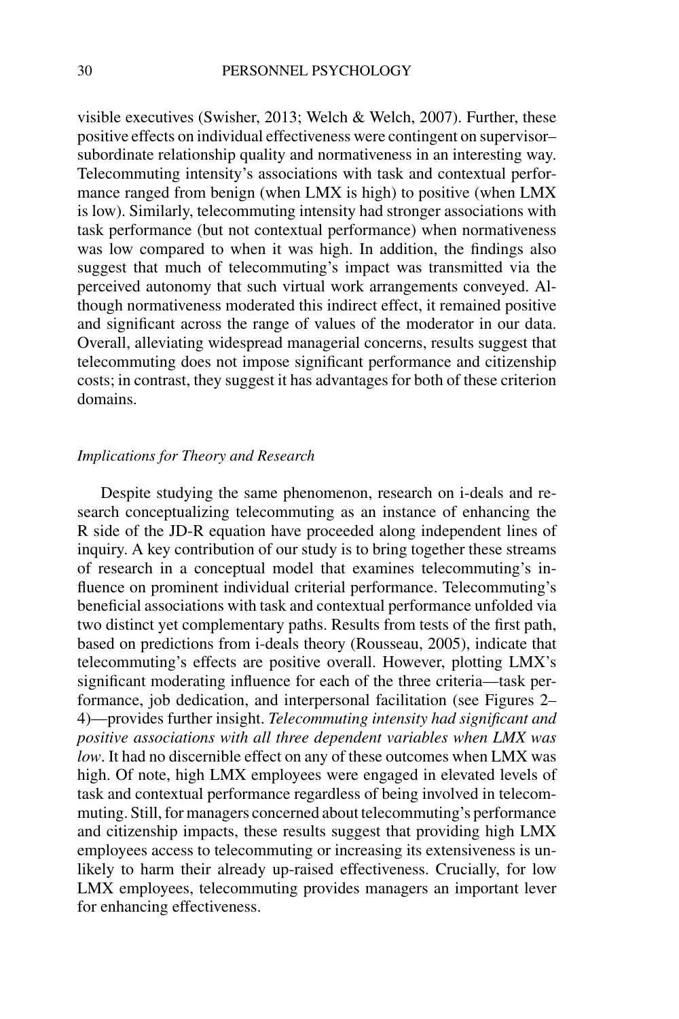visible executives (Swisher, 2013; Welch & Welch, 2007). Further, these positive effects on individual effectiveness were contingent on supervisor– subordinate relationship quality and normativeness in an interesting way. Telecommuting intensity's associations with task and contextual performance ranged from benign (when LMX is high) to positive (when LMX is low). Similarly, telecommuting intensity had stronger associations with task performance (but not contextual performance) when normativeness was low compared to when it was high. In addition, the findings also suggest that much of telecommuting's impact was transmitted via the perceived autonomy that such virtual work arrangements conveyed. Although normativeness moderated this indirect effect, it remained positive and significant across the range of values of the moderator in our data. Overall, alleviating widespread managerial concerns, results suggest that telecommuting does not impose significant performance and citizenship costs; in contrast, they suggest it has advantages for both of these criterion domains.

### *Implications for Theory and Research*

Despite studying the same phenomenon, research on i-deals and research conceptualizing telecommuting as an instance of enhancing the R side of the JD-R equation have proceeded along independent lines of inquiry. A key contribution of our study is to bring together these streams of research in a conceptual model that examines telecommuting's influence on prominent individual criterial performance. Telecommuting's beneficial associations with task and contextual performance unfolded via two distinct yet complementary paths. Results from tests of the first path, based on predictions from i-deals theory (Rousseau, 2005), indicate that telecommuting's effects are positive overall. However, plotting LMX's significant moderating influence for each of the three criteria—task performance, job dedication, and interpersonal facilitation (see Figures 2– 4)—provides further insight. *Telecommuting intensity had significant and positive associations with all three dependent variables when LMX was low*. It had no discernible effect on any of these outcomes when LMX was high. Of note, high LMX employees were engaged in elevated levels of task and contextual performance regardless of being involved in telecommuting. Still, for managers concerned about telecommuting's performance and citizenship impacts, these results suggest that providing high LMX employees access to telecommuting or increasing its extensiveness is unlikely to harm their already up-raised effectiveness. Crucially, for low LMX employees, telecommuting provides managers an important lever for enhancing effectiveness.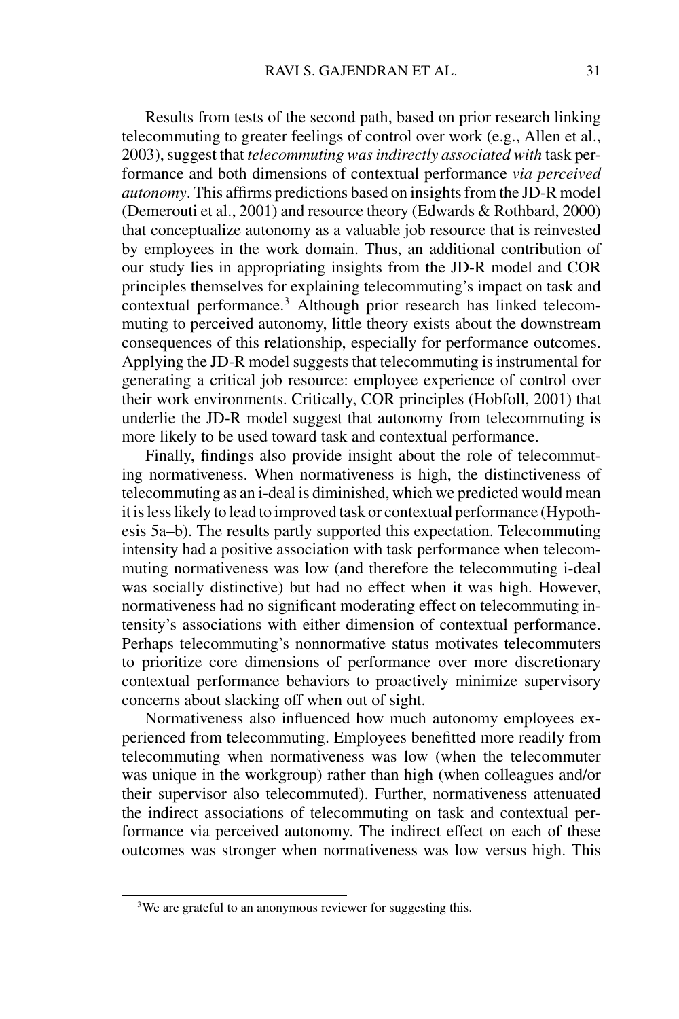Results from tests of the second path, based on prior research linking telecommuting to greater feelings of control over work (e.g., Allen et al., 2003), suggest that *telecommuting was indirectly associated with* task performance and both dimensions of contextual performance *via perceived autonomy*. This affirms predictions based on insights from the JD-R model (Demerouti et al., 2001) and resource theory (Edwards & Rothbard, 2000) that conceptualize autonomy as a valuable job resource that is reinvested by employees in the work domain. Thus, an additional contribution of our study lies in appropriating insights from the JD-R model and COR principles themselves for explaining telecommuting's impact on task and contextual performance.<sup>3</sup> Although prior research has linked telecommuting to perceived autonomy, little theory exists about the downstream consequences of this relationship, especially for performance outcomes. Applying the JD-R model suggests that telecommuting is instrumental for generating a critical job resource: employee experience of control over their work environments. Critically, COR principles (Hobfoll, 2001) that underlie the JD-R model suggest that autonomy from telecommuting is more likely to be used toward task and contextual performance.

Finally, findings also provide insight about the role of telecommuting normativeness. When normativeness is high, the distinctiveness of telecommuting as an i-deal is diminished, which we predicted would mean it is less likely to lead to improved task or contextual performance (Hypothesis 5a–b). The results partly supported this expectation. Telecommuting intensity had a positive association with task performance when telecommuting normativeness was low (and therefore the telecommuting i-deal was socially distinctive) but had no effect when it was high. However, normativeness had no significant moderating effect on telecommuting intensity's associations with either dimension of contextual performance. Perhaps telecommuting's nonnormative status motivates telecommuters to prioritize core dimensions of performance over more discretionary contextual performance behaviors to proactively minimize supervisory concerns about slacking off when out of sight.

Normativeness also influenced how much autonomy employees experienced from telecommuting. Employees benefitted more readily from telecommuting when normativeness was low (when the telecommuter was unique in the workgroup) rather than high (when colleagues and/or their supervisor also telecommuted). Further, normativeness attenuated the indirect associations of telecommuting on task and contextual performance via perceived autonomy. The indirect effect on each of these outcomes was stronger when normativeness was low versus high. This

<sup>&</sup>lt;sup>3</sup>We are grateful to an anonymous reviewer for suggesting this.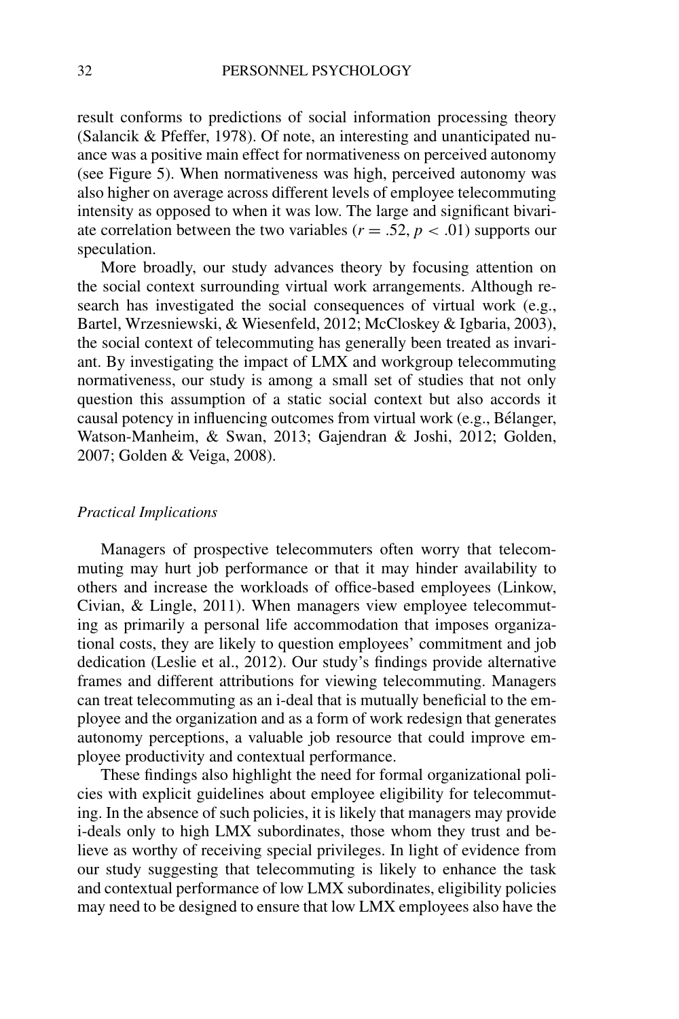result conforms to predictions of social information processing theory (Salancik & Pfeffer, 1978). Of note, an interesting and unanticipated nuance was a positive main effect for normativeness on perceived autonomy (see Figure 5). When normativeness was high, perceived autonomy was also higher on average across different levels of employee telecommuting intensity as opposed to when it was low. The large and significant bivariate correlation between the two variables ( $r = .52$ ,  $p < .01$ ) supports our speculation.

More broadly, our study advances theory by focusing attention on the social context surrounding virtual work arrangements. Although research has investigated the social consequences of virtual work (e.g., Bartel, Wrzesniewski, & Wiesenfeld, 2012; McCloskey & Igbaria, 2003), the social context of telecommuting has generally been treated as invariant. By investigating the impact of LMX and workgroup telecommuting normativeness, our study is among a small set of studies that not only question this assumption of a static social context but also accords it causal potency in influencing outcomes from virtual work (e.g., Belanger, ´ Watson-Manheim, & Swan, 2013; Gajendran & Joshi, 2012; Golden, 2007; Golden & Veiga, 2008).

### *Practical Implications*

Managers of prospective telecommuters often worry that telecommuting may hurt job performance or that it may hinder availability to others and increase the workloads of office-based employees (Linkow, Civian, & Lingle, 2011). When managers view employee telecommuting as primarily a personal life accommodation that imposes organizational costs, they are likely to question employees' commitment and job dedication (Leslie et al., 2012). Our study's findings provide alternative frames and different attributions for viewing telecommuting. Managers can treat telecommuting as an i-deal that is mutually beneficial to the employee and the organization and as a form of work redesign that generates autonomy perceptions, a valuable job resource that could improve employee productivity and contextual performance.

These findings also highlight the need for formal organizational policies with explicit guidelines about employee eligibility for telecommuting. In the absence of such policies, it is likely that managers may provide i-deals only to high LMX subordinates, those whom they trust and believe as worthy of receiving special privileges. In light of evidence from our study suggesting that telecommuting is likely to enhance the task and contextual performance of low LMX subordinates, eligibility policies may need to be designed to ensure that low LMX employees also have the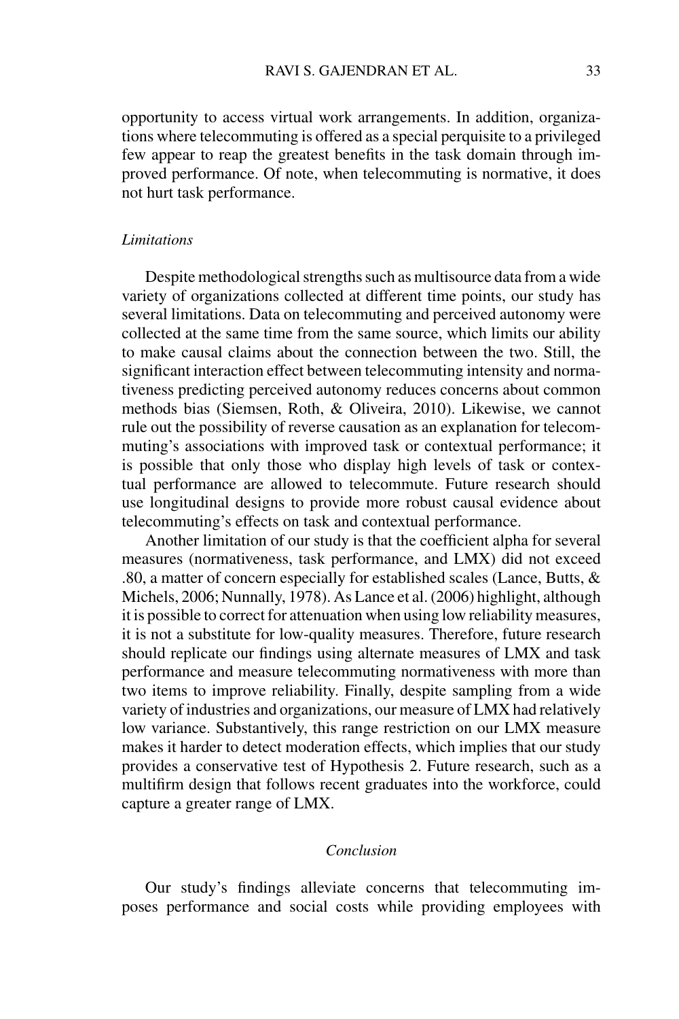opportunity to access virtual work arrangements. In addition, organizations where telecommuting is offered as a special perquisite to a privileged few appear to reap the greatest benefits in the task domain through improved performance. Of note, when telecommuting is normative, it does not hurt task performance.

### *Limitations*

Despite methodological strengths such as multisource data from a wide variety of organizations collected at different time points, our study has several limitations. Data on telecommuting and perceived autonomy were collected at the same time from the same source, which limits our ability to make causal claims about the connection between the two. Still, the significant interaction effect between telecommuting intensity and normativeness predicting perceived autonomy reduces concerns about common methods bias (Siemsen, Roth, & Oliveira, 2010). Likewise, we cannot rule out the possibility of reverse causation as an explanation for telecommuting's associations with improved task or contextual performance; it is possible that only those who display high levels of task or contextual performance are allowed to telecommute. Future research should use longitudinal designs to provide more robust causal evidence about telecommuting's effects on task and contextual performance.

Another limitation of our study is that the coefficient alpha for several measures (normativeness, task performance, and LMX) did not exceed .80, a matter of concern especially for established scales (Lance, Butts,  $\&$ Michels, 2006; Nunnally, 1978). As Lance et al. (2006) highlight, although it is possible to correct for attenuation when using low reliability measures, it is not a substitute for low-quality measures. Therefore, future research should replicate our findings using alternate measures of LMX and task performance and measure telecommuting normativeness with more than two items to improve reliability. Finally, despite sampling from a wide variety of industries and organizations, our measure of LMX had relatively low variance. Substantively, this range restriction on our LMX measure makes it harder to detect moderation effects, which implies that our study provides a conservative test of Hypothesis 2. Future research, such as a multifirm design that follows recent graduates into the workforce, could capture a greater range of LMX.

### *Conclusion*

Our study's findings alleviate concerns that telecommuting imposes performance and social costs while providing employees with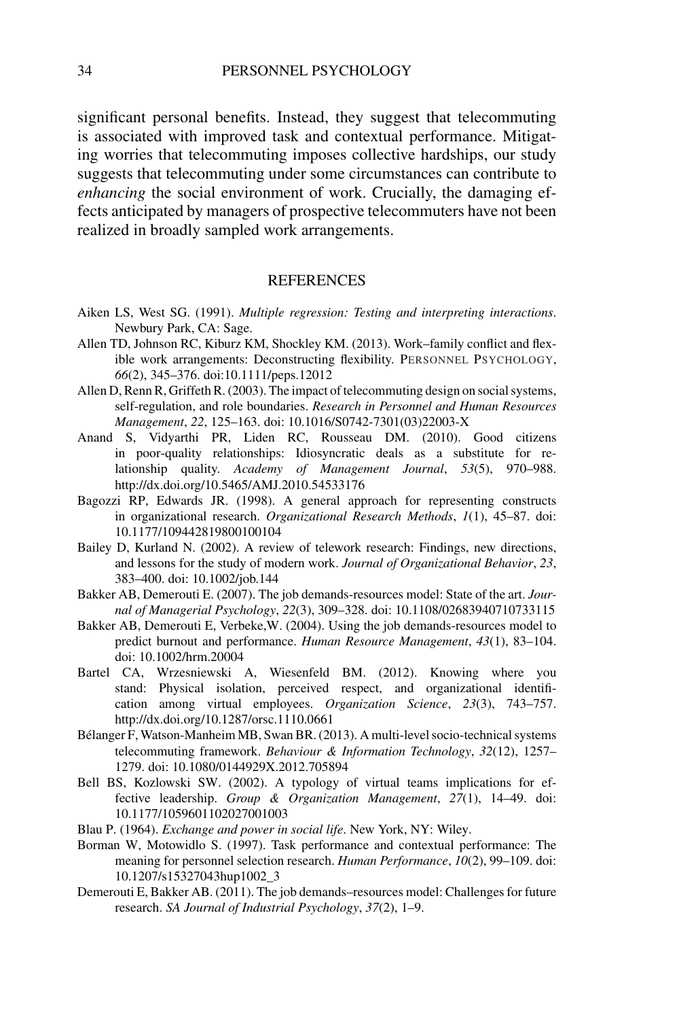significant personal benefits. Instead, they suggest that telecommuting is associated with improved task and contextual performance. Mitigating worries that telecommuting imposes collective hardships, our study suggests that telecommuting under some circumstances can contribute to *enhancing* the social environment of work. Crucially, the damaging effects anticipated by managers of prospective telecommuters have not been realized in broadly sampled work arrangements.

#### **REFERENCES**

- Aiken LS, West SG. (1991). *Multiple regression: Testing and interpreting interactions*. Newbury Park, CA: Sage.
- Allen TD, Johnson RC, Kiburz KM, Shockley KM. (2013). Work–family conflict and flexible work arrangements: Deconstructing flexibility. PERSONNEL PSYCHOLOGY, *66*(2), 345–376. doi:10.1111/peps.12012
- Allen D, Renn R, Griffeth R. (2003). The impact of telecommuting design on social systems, self-regulation, and role boundaries. *Research in Personnel and Human Resources Management*, *22*, 125–163. doi: 10.1016/S0742-7301(03)22003-X
- Anand S, Vidyarthi PR, Liden RC, Rousseau DM. (2010). Good citizens in poor-quality relationships: Idiosyncratic deals as a substitute for relationship quality. *Academy of Management Journal*, *53*(5), 970–988. http://dx.doi.org/10.5465/AMJ.2010.54533176
- Bagozzi RP, Edwards JR. (1998). A general approach for representing constructs in organizational research. *Organizational Research Methods*, *1*(1), 45–87. doi: 10.1177/109442819800100104
- Bailey D, Kurland N. (2002). A review of telework research: Findings, new directions, and lessons for the study of modern work. *Journal of Organizational Behavior*, *23*, 383–400. doi: 10.1002/job.144
- Bakker AB, Demerouti E. (2007). The job demands-resources model: State of the art. *Journal of Managerial Psychology*, *22*(3), 309–328. doi: 10.1108/02683940710733115
- Bakker AB, Demerouti E, Verbeke,W. (2004). Using the job demands-resources model to predict burnout and performance. *Human Resource Management*, *43*(1), 83–104. doi: 10.1002/hrm.20004
- Bartel CA, Wrzesniewski A, Wiesenfeld BM. (2012). Knowing where you stand: Physical isolation, perceived respect, and organizational identification among virtual employees. *Organization Science*, *23*(3), 743–757. http://dx.doi.org/10.1287/orsc.1110.0661
- Bélanger F, Watson-Manheim MB, Swan BR. (2013). A multi-level socio-technical systems telecommuting framework. *Behaviour & Information Technology*, *32*(12), 1257– 1279. doi: 10.1080/0144929X.2012.705894
- Bell BS, Kozlowski SW. (2002). A typology of virtual teams implications for effective leadership. *Group & Organization Management*, *27*(1), 14–49. doi: 10.1177/1059601102027001003
- Blau P. (1964). *Exchange and power in social life*. New York, NY: Wiley.
- Borman W, Motowidlo S. (1997). Task performance and contextual performance: The meaning for personnel selection research. *Human Performance*, *10*(2), 99–109. doi: 10.1207/s15327043hup1002\_3
- Demerouti E, Bakker AB. (2011). The job demands–resources model: Challenges for future research. *SA Journal of Industrial Psychology*, *37*(2), 1–9.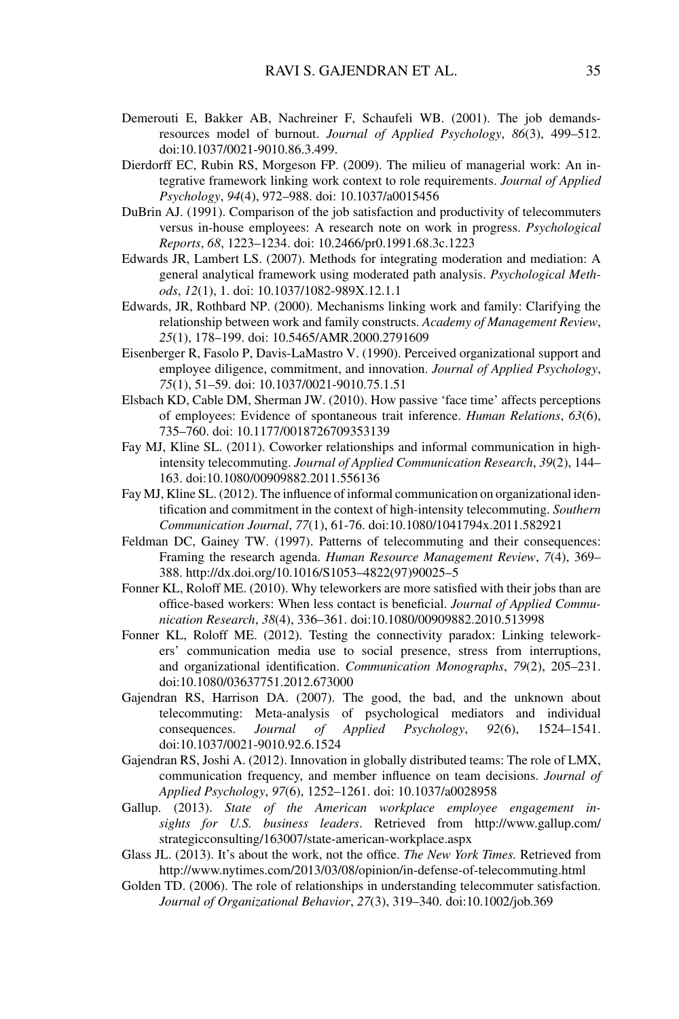- Demerouti E, Bakker AB, Nachreiner F, Schaufeli WB. (2001). The job demandsresources model of burnout. *Journal of Applied Psychology*, *86*(3), 499–512. doi:10.1037/0021-9010.86.3.499.
- Dierdorff EC, Rubin RS, Morgeson FP. (2009). The milieu of managerial work: An integrative framework linking work context to role requirements. *Journal of Applied Psychology*, *94*(4), 972–988. doi: 10.1037/a0015456
- DuBrin AJ. (1991). Comparison of the job satisfaction and productivity of telecommuters versus in-house employees: A research note on work in progress. *Psychological Reports*, *68*, 1223–1234. doi: 10.2466/pr0.1991.68.3c.1223
- Edwards JR, Lambert LS. (2007). Methods for integrating moderation and mediation: A general analytical framework using moderated path analysis. *Psychological Methods*, *12*(1), 1. doi: 10.1037/1082-989X.12.1.1
- Edwards, JR, Rothbard NP. (2000). Mechanisms linking work and family: Clarifying the relationship between work and family constructs. *Academy of Management Review*, *25*(1), 178–199. doi: 10.5465/AMR.2000.2791609
- Eisenberger R, Fasolo P, Davis-LaMastro V. (1990). Perceived organizational support and employee diligence, commitment, and innovation. *Journal of Applied Psychology*, *75*(1), 51–59. doi: 10.1037/0021-9010.75.1.51
- Elsbach KD, Cable DM, Sherman JW. (2010). How passive 'face time' affects perceptions of employees: Evidence of spontaneous trait inference. *Human Relations*, *63*(6), 735–760. doi: 10.1177/0018726709353139
- Fay MJ, Kline SL. (2011). Coworker relationships and informal communication in highintensity telecommuting. *Journal of Applied Communication Research*, *39*(2), 144– 163. doi:10.1080/00909882.2011.556136
- Fay MJ, Kline SL. (2012). The influence of informal communication on organizational identification and commitment in the context of high-intensity telecommuting. *Southern Communication Journal*, *77*(1), 61-76. doi:10.1080/1041794x.2011.582921
- Feldman DC, Gainey TW. (1997). Patterns of telecommuting and their consequences: Framing the research agenda. *Human Resource Management Review*, *7*(4), 369– 388. http://dx.doi.org/10.1016/S1053–4822(97)90025–5
- Fonner KL, Roloff ME. (2010). Why teleworkers are more satisfied with their jobs than are office-based workers: When less contact is beneficial. *Journal of Applied Communication Research*, *38*(4), 336–361. doi:10.1080/00909882.2010.513998
- Fonner KL, Roloff ME. (2012). Testing the connectivity paradox: Linking teleworkers' communication media use to social presence, stress from interruptions, and organizational identification. *Communication Monographs*, *79*(2), 205–231. doi:10.1080/03637751.2012.673000
- Gajendran RS, Harrison DA. (2007). The good, the bad, and the unknown about telecommuting: Meta-analysis of psychological mediators and individual consequences. *Journal of Applied Psychology*, *92*(6), 1524–1541. doi:10.1037/0021-9010.92.6.1524
- Gajendran RS, Joshi A. (2012). Innovation in globally distributed teams: The role of LMX, communication frequency, and member influence on team decisions. *Journal of Applied Psychology*, *97*(6), 1252–1261. doi: 10.1037/a0028958
- Gallup. (2013). *State of the American workplace employee engagement insights for U.S. business leaders*. Retrieved from http://www.gallup.com/ strategicconsulting/163007/state-american-workplace.aspx
- Glass JL. (2013). It's about the work, not the office. *The New York Times.* Retrieved from http://www.nytimes.com/2013/03/08/opinion/in-defense-of-telecommuting.html
- Golden TD. (2006). The role of relationships in understanding telecommuter satisfaction. *Journal of Organizational Behavior*, *27*(3), 319–340. doi:10.1002/job.369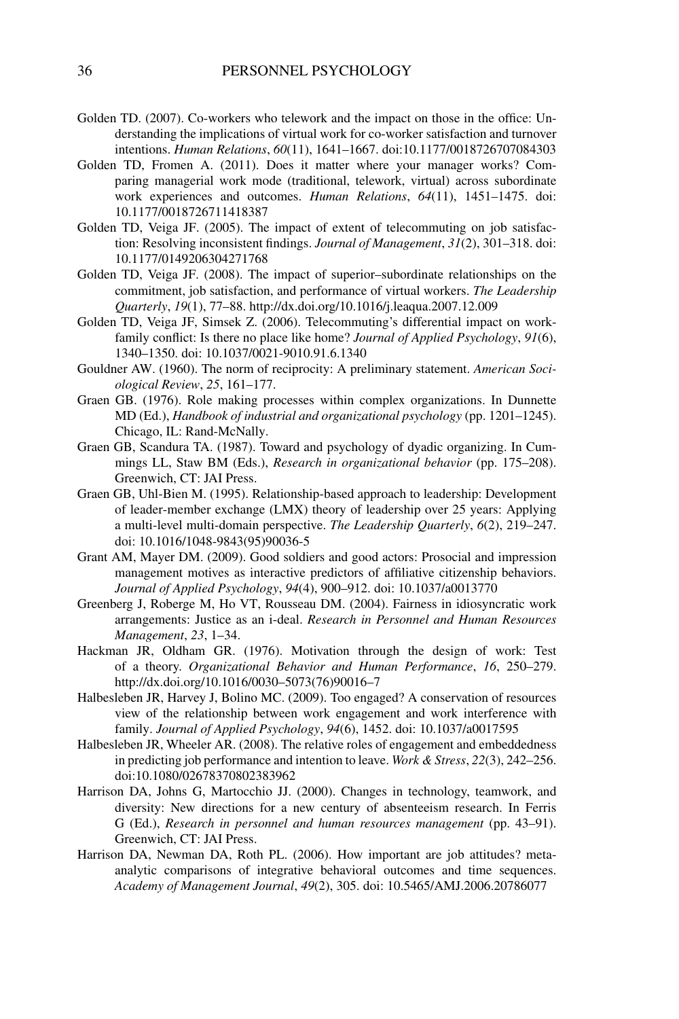- Golden TD. (2007). Co-workers who telework and the impact on those in the office: Understanding the implications of virtual work for co-worker satisfaction and turnover intentions. *Human Relations*, *60*(11), 1641–1667. doi:10.1177/0018726707084303
- Golden TD, Fromen A. (2011). Does it matter where your manager works? Comparing managerial work mode (traditional, telework, virtual) across subordinate work experiences and outcomes. *Human Relations*, *64*(11), 1451–1475. doi: 10.1177/0018726711418387
- Golden TD, Veiga JF. (2005). The impact of extent of telecommuting on job satisfaction: Resolving inconsistent findings. *Journal of Management*, *31*(2), 301–318. doi: 10.1177/0149206304271768
- Golden TD, Veiga JF. (2008). The impact of superior–subordinate relationships on the commitment, job satisfaction, and performance of virtual workers. *The Leadership Quarterly*, *19*(1), 77–88. http://dx.doi.org/10.1016/j.leaqua.2007.12.009
- Golden TD, Veiga JF, Simsek Z. (2006). Telecommuting's differential impact on workfamily conflict: Is there no place like home? *Journal of Applied Psychology*, *91*(6), 1340–1350. doi: 10.1037/0021-9010.91.6.1340
- Gouldner AW. (1960). The norm of reciprocity: A preliminary statement. *American Sociological Review*, *25*, 161–177.
- Graen GB. (1976). Role making processes within complex organizations. In Dunnette MD (Ed.), *Handbook of industrial and organizational psychology* (pp. 1201–1245). Chicago, IL: Rand-McNally.
- Graen GB, Scandura TA. (1987). Toward and psychology of dyadic organizing. In Cummings LL, Staw BM (Eds.), *Research in organizational behavior* (pp. 175–208). Greenwich, CT: JAI Press.
- Graen GB, Uhl-Bien M. (1995). Relationship-based approach to leadership: Development of leader-member exchange (LMX) theory of leadership over 25 years: Applying a multi-level multi-domain perspective. *The Leadership Quarterly*, *6*(2), 219–247. doi: 10.1016/1048-9843(95)90036-5
- Grant AM, Mayer DM. (2009). Good soldiers and good actors: Prosocial and impression management motives as interactive predictors of affiliative citizenship behaviors. *Journal of Applied Psychology*, *94*(4), 900–912. doi: 10.1037/a0013770
- Greenberg J, Roberge M, Ho VT, Rousseau DM. (2004). Fairness in idiosyncratic work arrangements: Justice as an i-deal. *Research in Personnel and Human Resources Management*, *23*, 1–34.
- Hackman JR, Oldham GR. (1976). Motivation through the design of work: Test of a theory. *Organizational Behavior and Human Performance*, *16*, 250–279. http://dx.doi.org/10.1016/0030–5073(76)90016–7
- Halbesleben JR, Harvey J, Bolino MC. (2009). Too engaged? A conservation of resources view of the relationship between work engagement and work interference with family. *Journal of Applied Psychology*, *94*(6), 1452. doi: 10.1037/a0017595
- Halbesleben JR, Wheeler AR. (2008). The relative roles of engagement and embeddedness in predicting job performance and intention to leave. *Work & Stress*, *22*(3), 242–256. doi:10.1080/02678370802383962
- Harrison DA, Johns G, Martocchio JJ. (2000). Changes in technology, teamwork, and diversity: New directions for a new century of absenteeism research. In Ferris G (Ed.), *Research in personnel and human resources management* (pp. 43–91). Greenwich, CT: JAI Press.
- Harrison DA, Newman DA, Roth PL. (2006). How important are job attitudes? metaanalytic comparisons of integrative behavioral outcomes and time sequences. *Academy of Management Journal*, *49*(2), 305. doi: 10.5465/AMJ.2006.20786077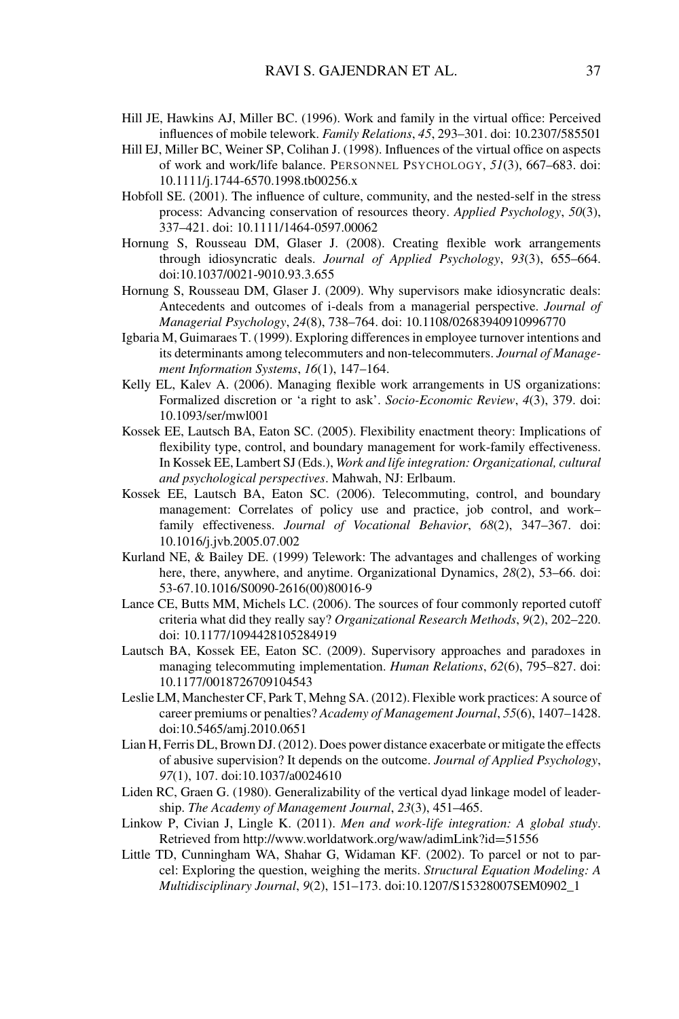- Hill JE, Hawkins AJ, Miller BC. (1996). Work and family in the virtual office: Perceived influences of mobile telework. *Family Relations*, *45*, 293–301. doi: 10.2307/585501
- Hill EJ, Miller BC, Weiner SP, Colihan J. (1998). Influences of the virtual office on aspects of work and work/life balance. PERSONNEL PSYCHOLOGY, *51*(3), 667–683. doi: 10.1111/j.1744-6570.1998.tb00256.x
- Hobfoll SE. (2001). The influence of culture, community, and the nested-self in the stress process: Advancing conservation of resources theory. *Applied Psychology*, *50*(3), 337–421. doi: 10.1111/1464-0597.00062
- Hornung S, Rousseau DM, Glaser J. (2008). Creating flexible work arrangements through idiosyncratic deals. *Journal of Applied Psychology*, *93*(3), 655–664. doi:10.1037/0021-9010.93.3.655
- Hornung S, Rousseau DM, Glaser J. (2009). Why supervisors make idiosyncratic deals: Antecedents and outcomes of i-deals from a managerial perspective. *Journal of Managerial Psychology*, *24*(8), 738–764. doi: 10.1108/02683940910996770
- Igbaria M, Guimaraes T. (1999). Exploring differences in employee turnover intentions and its determinants among telecommuters and non-telecommuters. *Journal of Management Information Systems*, *16*(1), 147–164.
- Kelly EL, Kalev A. (2006). Managing flexible work arrangements in US organizations: Formalized discretion or 'a right to ask'. *Socio-Economic Review*, *4*(3), 379. doi: 10.1093/ser/mwl001
- Kossek EE, Lautsch BA, Eaton SC. (2005). Flexibility enactment theory: Implications of flexibility type, control, and boundary management for work-family effectiveness. In Kossek EE, Lambert SJ (Eds.), *Work and life integration: Organizational, cultural and psychological perspectives*. Mahwah, NJ: Erlbaum.
- Kossek EE, Lautsch BA, Eaton SC. (2006). Telecommuting, control, and boundary management: Correlates of policy use and practice, job control, and work– family effectiveness. *Journal of Vocational Behavior*, *68*(2), 347–367. doi: 10.1016/j.jvb.2005.07.002
- Kurland NE, & Bailey DE. (1999) Telework: The advantages and challenges of working here, there, anywhere, and anytime. Organizational Dynamics, *28*(2), 53–66. doi: 53-67.10.1016/S0090-2616(00)80016-9
- Lance CE, Butts MM, Michels LC. (2006). The sources of four commonly reported cutoff criteria what did they really say? *Organizational Research Methods*, *9*(2), 202–220. doi: 10.1177/1094428105284919
- Lautsch BA, Kossek EE, Eaton SC. (2009). Supervisory approaches and paradoxes in managing telecommuting implementation. *Human Relations*, *62*(6), 795–827. doi: 10.1177/0018726709104543
- Leslie LM, Manchester CF, Park T, Mehng SA. (2012). Flexible work practices: A source of career premiums or penalties? *Academy of Management Journal*, *55*(6), 1407–1428. doi:10.5465/amj.2010.0651
- Lian H, Ferris DL, Brown DJ. (2012). Does power distance exacerbate or mitigate the effects of abusive supervision? It depends on the outcome. *Journal of Applied Psychology*, *97*(1), 107. doi:10.1037/a0024610
- Liden RC, Graen G. (1980). Generalizability of the vertical dyad linkage model of leadership. *The Academy of Management Journal*, *23*(3), 451–465.
- Linkow P, Civian J, Lingle K. (2011). *Men and work-life integration: A global study*. Retrieved from http://www.worldatwork.org/waw/adimLink?id=51556
- Little TD, Cunningham WA, Shahar G, Widaman KF. (2002). To parcel or not to parcel: Exploring the question, weighing the merits. *Structural Equation Modeling: A Multidisciplinary Journal*, *9*(2), 151–173. doi:10.1207/S15328007SEM0902\_1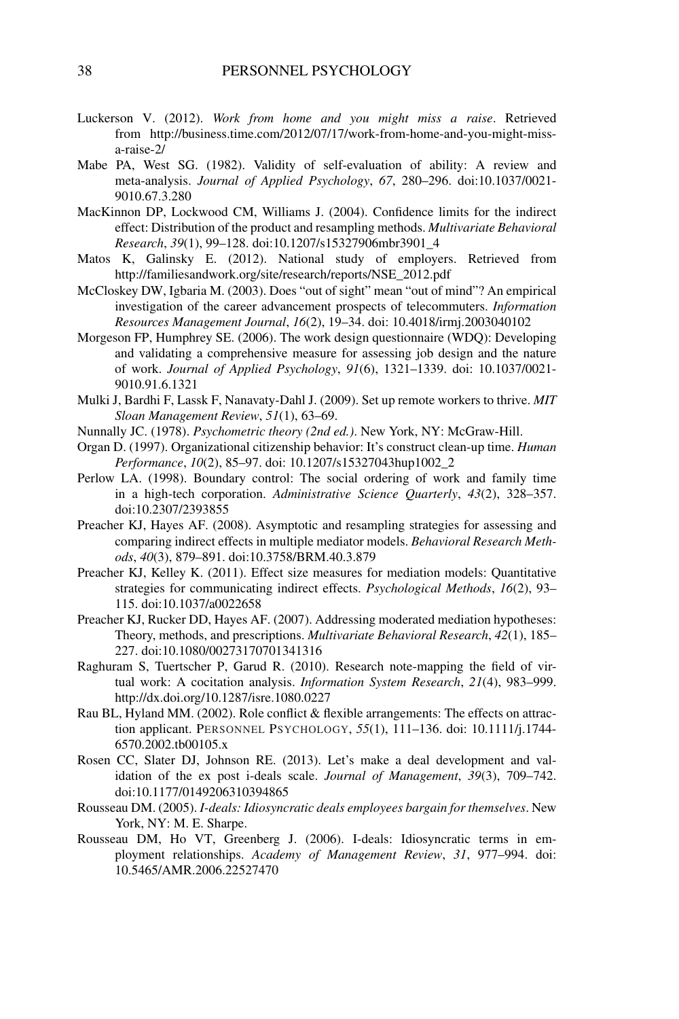- Luckerson V. (2012). *Work from home and you might miss a raise*. Retrieved from http://business.time.com/2012/07/17/work-from-home-and-you-might-missa-raise-2/
- Mabe PA, West SG. (1982). Validity of self-evaluation of ability: A review and meta-analysis. *Journal of Applied Psychology*, *67*, 280–296. doi:10.1037/0021- 9010.67.3.280
- MacKinnon DP, Lockwood CM, Williams J. (2004). Confidence limits for the indirect effect: Distribution of the product and resampling methods. *Multivariate Behavioral Research*, *39*(1), 99–128. doi:10.1207/s15327906mbr3901\_4
- Matos K, Galinsky E. (2012). National study of employers. Retrieved from http://familiesandwork.org/site/research/reports/NSE\_2012.pdf
- McCloskey DW, Igbaria M. (2003). Does "out of sight" mean "out of mind"? An empirical investigation of the career advancement prospects of telecommuters. *Information Resources Management Journal*, *16*(2), 19–34. doi: 10.4018/irmj.2003040102
- Morgeson FP, Humphrey SE. (2006). The work design questionnaire (WDQ): Developing and validating a comprehensive measure for assessing job design and the nature of work. *Journal of Applied Psychology*, *91*(6), 1321–1339. doi: 10.1037/0021- 9010.91.6.1321
- Mulki J, Bardhi F, Lassk F, Nanavaty-Dahl J. (2009). Set up remote workers to thrive. *MIT Sloan Management Review*, *51*(1), 63–69.
- Nunnally JC. (1978). *Psychometric theory (2nd ed.)*. New York, NY: McGraw-Hill.
- Organ D. (1997). Organizational citizenship behavior: It's construct clean-up time. *Human Performance*, *10*(2), 85–97. doi: 10.1207/s15327043hup1002\_2
- Perlow LA. (1998). Boundary control: The social ordering of work and family time in a high-tech corporation. *Administrative Science Quarterly*, *43*(2), 328–357. doi:10.2307/2393855
- Preacher KJ, Hayes AF. (2008). Asymptotic and resampling strategies for assessing and comparing indirect effects in multiple mediator models. *Behavioral Research Methods*, *40*(3), 879–891. doi:10.3758/BRM.40.3.879
- Preacher KJ, Kelley K. (2011). Effect size measures for mediation models: Quantitative strategies for communicating indirect effects. *Psychological Methods*, *16*(2), 93– 115. doi:10.1037/a0022658
- Preacher KJ, Rucker DD, Hayes AF. (2007). Addressing moderated mediation hypotheses: Theory, methods, and prescriptions. *Multivariate Behavioral Research*, *42*(1), 185– 227. doi:10.1080/00273170701341316
- Raghuram S, Tuertscher P, Garud R. (2010). Research note-mapping the field of virtual work: A cocitation analysis. *Information System Research*, *21*(4), 983–999. http://dx.doi.org/10.1287/isre.1080.0227
- Rau BL, Hyland MM. (2002). Role conflict & flexible arrangements: The effects on attraction applicant. PERSONNEL PSYCHOLOGY, *55*(1), 111–136. doi: 10.1111/j.1744- 6570.2002.tb00105.x
- Rosen CC, Slater DJ, Johnson RE. (2013). Let's make a deal development and validation of the ex post i-deals scale. *Journal of Management*, *39*(3), 709–742. doi:10.1177/0149206310394865
- Rousseau DM. (2005). *I-deals: Idiosyncratic deals employees bargain for themselves*. New York, NY: M. E. Sharpe.
- Rousseau DM, Ho VT, Greenberg J. (2006). I-deals: Idiosyncratic terms in employment relationships. *Academy of Management Review*, *31*, 977–994. doi: 10.5465/AMR.2006.22527470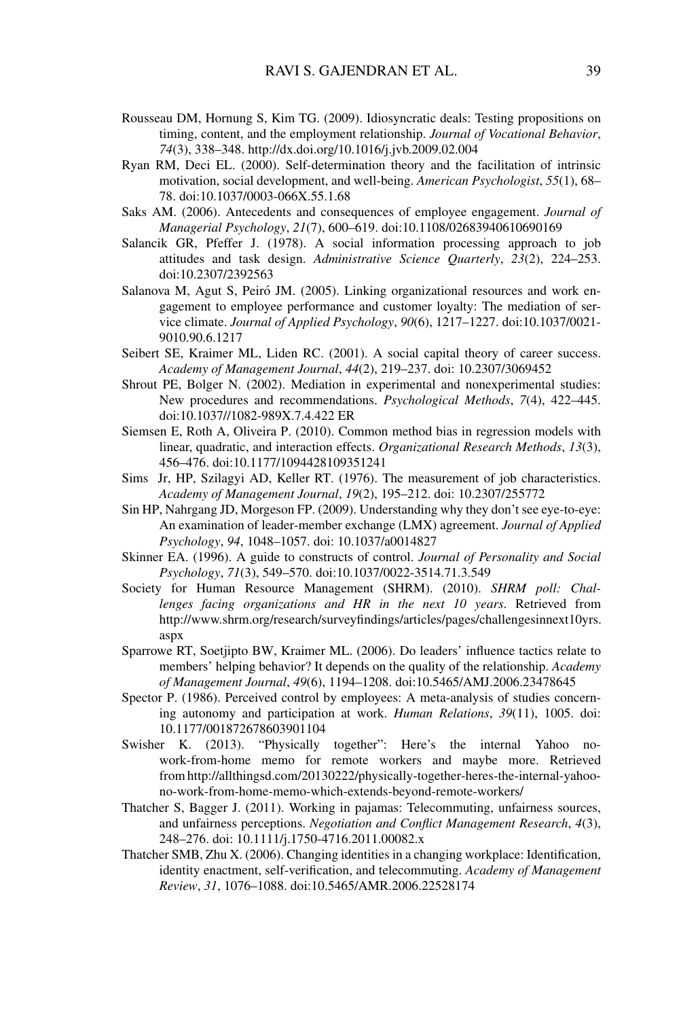- Rousseau DM, Hornung S, Kim TG. (2009). Idiosyncratic deals: Testing propositions on timing, content, and the employment relationship. *Journal of Vocational Behavior*, *74*(3), 338–348. http://dx.doi.org/10.1016/j.jvb.2009.02.004
- Ryan RM, Deci EL. (2000). Self-determination theory and the facilitation of intrinsic motivation, social development, and well-being. *American Psychologist*, *55*(1), 68– 78. doi:10.1037/0003-066X.55.1.68
- Saks AM. (2006). Antecedents and consequences of employee engagement. *Journal of Managerial Psychology*, *21*(7), 600–619. doi:10.1108/02683940610690169
- Salancik GR, Pfeffer J. (1978). A social information processing approach to job attitudes and task design. *Administrative Science Quarterly*, *23*(2), 224–253. doi:10.2307/2392563
- Salanova M, Agut S, Peiró JM. (2005). Linking organizational resources and work engagement to employee performance and customer loyalty: The mediation of service climate. *Journal of Applied Psychology*, *90*(6), 1217–1227. doi:10.1037/0021- 9010.90.6.1217
- Seibert SE, Kraimer ML, Liden RC. (2001). A social capital theory of career success. *Academy of Management Journal*, *44*(2), 219–237. doi: 10.2307/3069452
- Shrout PE, Bolger N. (2002). Mediation in experimental and nonexperimental studies: New procedures and recommendations. *Psychological Methods*, *7*(4), 422–445. doi:10.1037//1082-989X.7.4.422 ER
- Siemsen E, Roth A, Oliveira P. (2010). Common method bias in regression models with linear, quadratic, and interaction effects. *Organizational Research Methods*, *13*(3), 456–476. doi:10.1177/1094428109351241
- Sims Jr, HP, Szilagyi AD, Keller RT. (1976). The measurement of job characteristics. *Academy of Management Journal*, *19*(2), 195–212. doi: 10.2307/255772
- Sin HP, Nahrgang JD, Morgeson FP. (2009). Understanding why they don't see eye-to-eye: An examination of leader-member exchange (LMX) agreement. *Journal of Applied Psychology*, *94*, 1048–1057. doi: 10.1037/a0014827
- Skinner EA. (1996). A guide to constructs of control. *Journal of Personality and Social Psychology*, *71*(3), 549–570. doi:10.1037/0022-3514.71.3.549
- Society for Human Resource Management (SHRM). (2010). *SHRM poll: Challenges facing organizations and HR in the next 10 years*. Retrieved from http://www.shrm.org/research/surveyfindings/articles/pages/challengesinnext10yrs. aspx
- Sparrowe RT, Soetjipto BW, Kraimer ML. (2006). Do leaders' influence tactics relate to members' helping behavior? It depends on the quality of the relationship. *Academy of Management Journal*, *49*(6), 1194–1208. doi:10.5465/AMJ.2006.23478645
- Spector P. (1986). Perceived control by employees: A meta-analysis of studies concerning autonomy and participation at work. *Human Relations*, *39*(11), 1005. doi: 10.1177/001872678603901104
- Swisher K. (2013). "Physically together": Here's the internal Yahoo nowork-from-home memo for remote workers and maybe more. Retrieved from http://allthingsd.com/20130222/physically-together-heres-the-internal-yahoono-work-from-home-memo-which-extends-beyond-remote-workers/
- Thatcher S, Bagger J. (2011). Working in pajamas: Telecommuting, unfairness sources, and unfairness perceptions. *Negotiation and Conflict Management Research*, *4*(3), 248–276. doi: 10.1111/j.1750-4716.2011.00082.x
- Thatcher SMB, Zhu X. (2006). Changing identities in a changing workplace: Identification, identity enactment, self-verification, and telecommuting. *Academy of Management Review*, *31*, 1076–1088. doi:10.5465/AMR.2006.22528174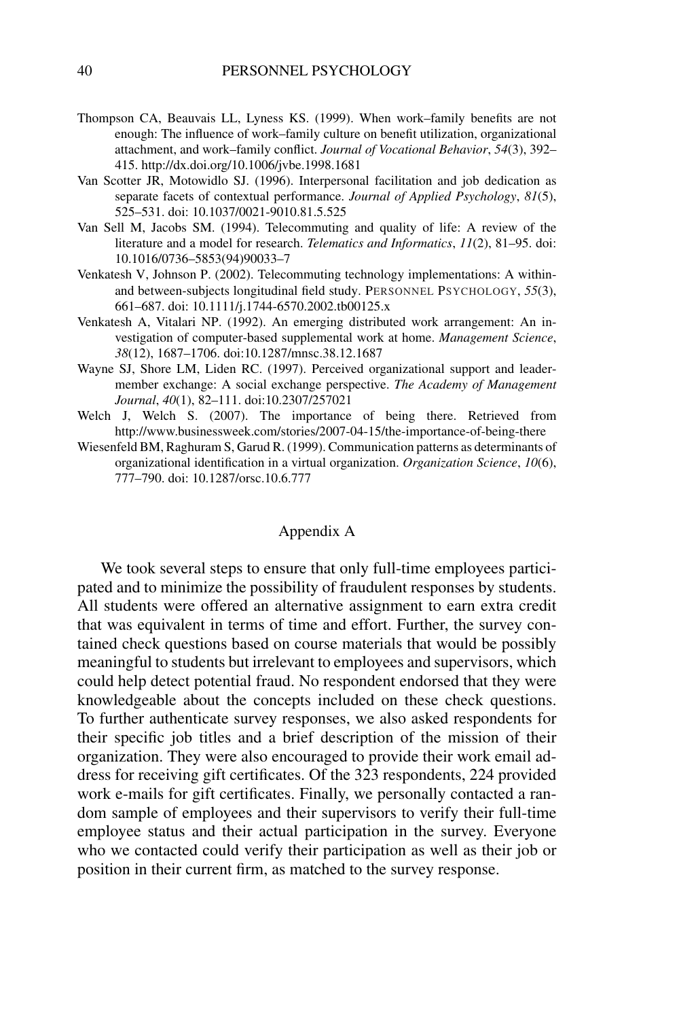- Thompson CA, Beauvais LL, Lyness KS. (1999). When work–family benefits are not enough: The influence of work–family culture on benefit utilization, organizational attachment, and work–family conflict. *Journal of Vocational Behavior*, *54*(3), 392– 415. http://dx.doi.org/10.1006/jvbe.1998.1681
- Van Scotter JR, Motowidlo SJ. (1996). Interpersonal facilitation and job dedication as separate facets of contextual performance. *Journal of Applied Psychology*, *81*(5), 525–531. doi: 10.1037/0021-9010.81.5.525
- Van Sell M, Jacobs SM. (1994). Telecommuting and quality of life: A review of the literature and a model for research. *Telematics and Informatics*, *11*(2), 81–95. doi: 10.1016/0736–5853(94)90033–7
- Venkatesh V, Johnson P. (2002). Telecommuting technology implementations: A withinand between-subjects longitudinal field study. PERSONNEL PSYCHOLOGY, *55*(3), 661–687. doi: 10.1111/j.1744-6570.2002.tb00125.x
- Venkatesh A, Vitalari NP. (1992). An emerging distributed work arrangement: An investigation of computer-based supplemental work at home. *Management Science*, *38*(12), 1687–1706. doi:10.1287/mnsc.38.12.1687
- Wayne SJ, Shore LM, Liden RC. (1997). Perceived organizational support and leadermember exchange: A social exchange perspective. *The Academy of Management Journal*, *40*(1), 82–111. doi:10.2307/257021
- Welch J, Welch S. (2007). The importance of being there. Retrieved from http://www.businessweek.com/stories/2007-04-15/the-importance-of-being-there
- Wiesenfeld BM, Raghuram S, Garud R. (1999). Communication patterns as determinants of organizational identification in a virtual organization. *Organization Science*, *10*(6), 777–790. doi: 10.1287/orsc.10.6.777

### Appendix A

We took several steps to ensure that only full-time employees participated and to minimize the possibility of fraudulent responses by students. All students were offered an alternative assignment to earn extra credit that was equivalent in terms of time and effort. Further, the survey contained check questions based on course materials that would be possibly meaningful to students but irrelevant to employees and supervisors, which could help detect potential fraud. No respondent endorsed that they were knowledgeable about the concepts included on these check questions. To further authenticate survey responses, we also asked respondents for their specific job titles and a brief description of the mission of their organization. They were also encouraged to provide their work email address for receiving gift certificates. Of the 323 respondents, 224 provided work e-mails for gift certificates. Finally, we personally contacted a random sample of employees and their supervisors to verify their full-time employee status and their actual participation in the survey. Everyone who we contacted could verify their participation as well as their job or position in their current firm, as matched to the survey response.